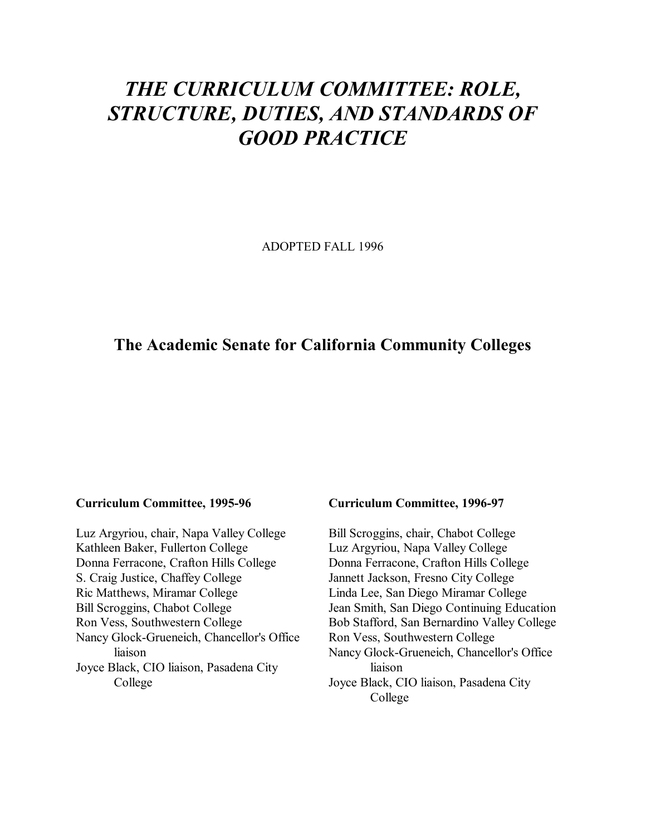# *THE CURRICULUM COMMITTEE: ROLE, STRUCTURE, DUTIES, AND STANDARDS OF GOOD PRACTICE*

ADOPTED FALL 1996

### **The Academic Senate for California Community Colleges**

#### **Curriculum Committee, 1995-96**

Luz Argyriou, chair, Napa Valley College Kathleen Baker, Fullerton College Donna Ferracone, Crafton Hills College S. Craig Justice, Chaffey College Ric Matthews, Miramar College Bill Scroggins, Chabot College Ron Vess, Southwestern College Nancy Glock-Grueneich, Chancellor's Office liaison Joyce Black, CIO liaison, Pasadena City College

#### **Curriculum Committee, 1996-97**

Bill Scroggins, chair, Chabot College Luz Argyriou, Napa Valley College Donna Ferracone, Crafton Hills College Jannett Jackson, Fresno City College Linda Lee, San Diego Miramar College Jean Smith, San Diego Continuing Education Bob Stafford, San Bernardino Valley College Ron Vess, Southwestern College Nancy Glock-Grueneich, Chancellor's Office liaison Joyce Black, CIO liaison, Pasadena City College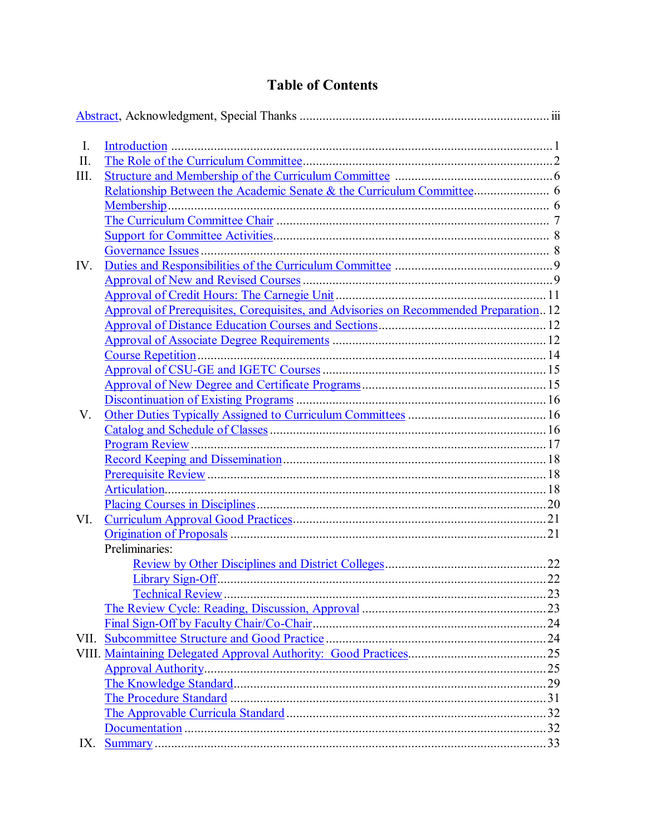## **Table of Contents**

| $I_{\cdot}$ |                                                                                       |    |
|-------------|---------------------------------------------------------------------------------------|----|
| II.         |                                                                                       |    |
| III.        |                                                                                       |    |
|             |                                                                                       |    |
|             |                                                                                       |    |
|             |                                                                                       |    |
|             |                                                                                       |    |
|             |                                                                                       |    |
| IV.         |                                                                                       |    |
|             |                                                                                       |    |
|             |                                                                                       |    |
|             | Approval of Prerequisites, Corequisites, and Advisories on Recommended Preparation 12 |    |
|             |                                                                                       |    |
|             |                                                                                       |    |
|             |                                                                                       |    |
|             |                                                                                       |    |
|             |                                                                                       |    |
|             |                                                                                       |    |
| V.          |                                                                                       |    |
|             |                                                                                       |    |
|             |                                                                                       |    |
|             |                                                                                       |    |
|             |                                                                                       |    |
|             |                                                                                       |    |
|             |                                                                                       |    |
| VI.         |                                                                                       |    |
|             |                                                                                       |    |
|             | Preliminaries:                                                                        |    |
|             |                                                                                       |    |
|             | <b>Library Sign-Off</b>                                                               | 22 |
|             |                                                                                       |    |
|             |                                                                                       |    |
|             |                                                                                       |    |
|             |                                                                                       |    |
|             |                                                                                       |    |
|             |                                                                                       |    |
|             |                                                                                       |    |
|             |                                                                                       |    |
|             |                                                                                       |    |
|             |                                                                                       |    |
| IX.         |                                                                                       |    |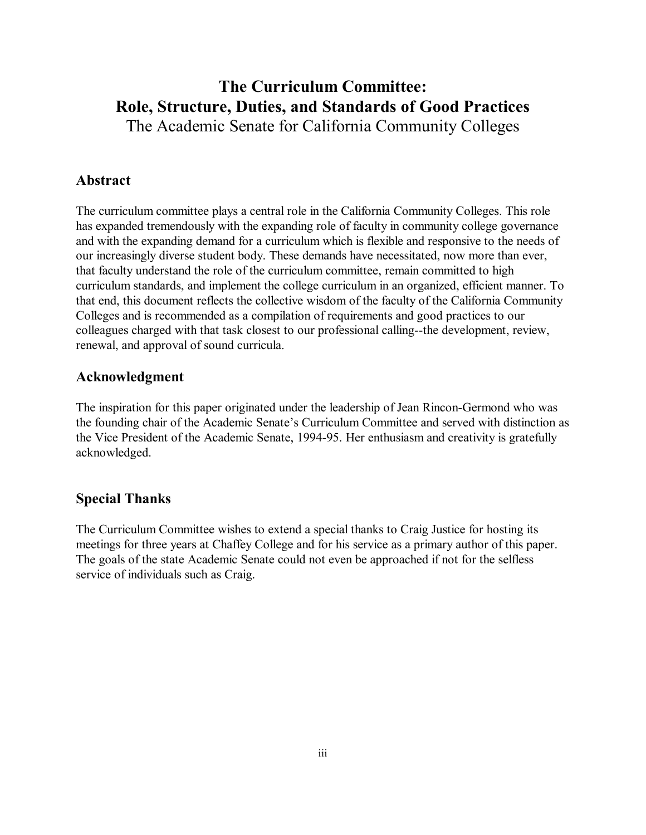# **The Curriculum Committee: Role, Structure, Duties, and Standards of Good Practices**

The Academic Senate for California Community Colleges

### **Abstract**

The curriculum committee plays a central role in the California Community Colleges. This role has expanded tremendously with the expanding role of faculty in community college governance and with the expanding demand for a curriculum which is flexible and responsive to the needs of our increasingly diverse student body. These demands have necessitated, now more than ever, that faculty understand the role of the curriculum committee, remain committed to high curriculum standards, and implement the college curriculum in an organized, efficient manner. To that end, this document reflects the collective wisdom of the faculty of the California Community Colleges and is recommended as a compilation of requirements and good practices to our colleagues charged with that task closest to our professional calling--the development, review, renewal, and approval of sound curricula.

### **Acknowledgment**

The inspiration for this paper originated under the leadership of Jean Rincon-Germond who was the founding chair of the Academic Senate's Curriculum Committee and served with distinction as the Vice President of the Academic Senate, 1994-95. Her enthusiasm and creativity is gratefully acknowledged.

### **Special Thanks**

The Curriculum Committee wishes to extend a special thanks to Craig Justice for hosting its meetings for three years at Chaffey College and for his service as a primary author of this paper. The goals of the state Academic Senate could not even be approached if not for the selfless service of individuals such as Craig.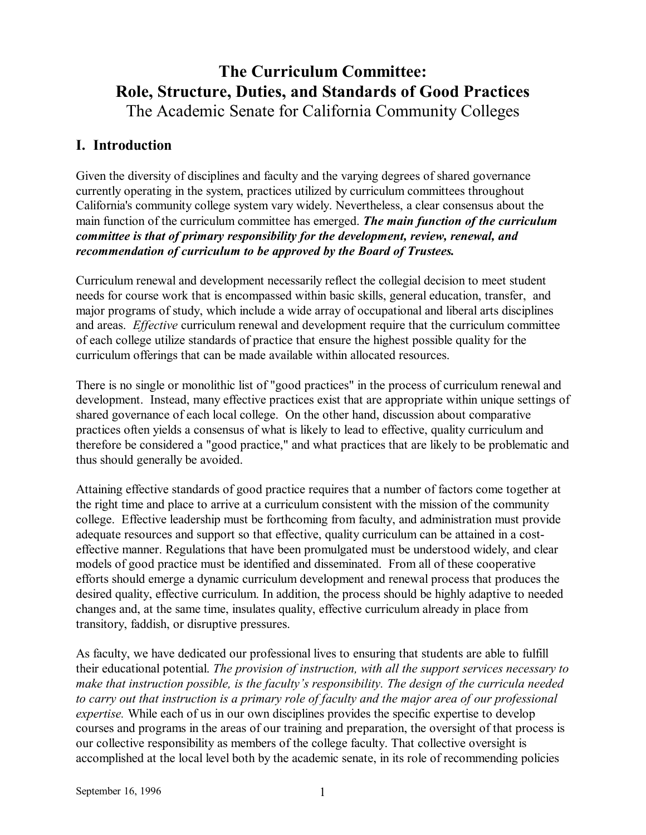## **The Curriculum Committee: Role, Structure, Duties, and Standards of Good Practices** The Academic Senate for California Community Colleges

### **I. Introduction**

Given the diversity of disciplines and faculty and the varying degrees of shared governance currently operating in the system, practices utilized by curriculum committees throughout California's community college system vary widely. Nevertheless, a clear consensus about the main function of the curriculum committee has emerged. *The main function of the curriculum committee is that of primary responsibility for the development, review, renewal, and recommendation of curriculum to be approved by the Board of Trustees.*

Curriculum renewal and development necessarily reflect the collegial decision to meet student needs for course work that is encompassed within basic skills, general education, transfer, and major programs of study, which include a wide array of occupational and liberal arts disciplines and areas. *Effective* curriculum renewal and development require that the curriculum committee of each college utilize standards of practice that ensure the highest possible quality for the curriculum offerings that can be made available within allocated resources.

There is no single or monolithic list of "good practices" in the process of curriculum renewal and development. Instead, many effective practices exist that are appropriate within unique settings of shared governance of each local college. On the other hand, discussion about comparative practices often yields a consensus of what is likely to lead to effective, quality curriculum and therefore be considered a "good practice," and what practices that are likely to be problematic and thus should generally be avoided.

Attaining effective standards of good practice requires that a number of factors come together at the right time and place to arrive at a curriculum consistent with the mission of the community college. Effective leadership must be forthcoming from faculty, and administration must provide adequate resources and support so that effective, quality curriculum can be attained in a costeffective manner. Regulations that have been promulgated must be understood widely, and clear models of good practice must be identified and disseminated. From all of these cooperative efforts should emerge a dynamic curriculum development and renewal process that produces the desired quality, effective curriculum. In addition, the process should be highly adaptive to needed changes and, at the same time, insulates quality, effective curriculum already in place from transitory, faddish, or disruptive pressures.

As faculty, we have dedicated our professional lives to ensuring that students are able to fulfill their educational potential. *The provision of instruction, with all the support services necessary to*  make that instruction possible, is the faculty's responsibility. The design of the curricula needed *to carry out that instruction is a primary role of faculty and the major area of our professional expertise.* While each of us in our own disciplines provides the specific expertise to develop courses and programs in the areas of our training and preparation, the oversight of that process is our collective responsibility as members of the college faculty. That collective oversight is accomplished at the local level both by the academic senate, in its role of recommending policies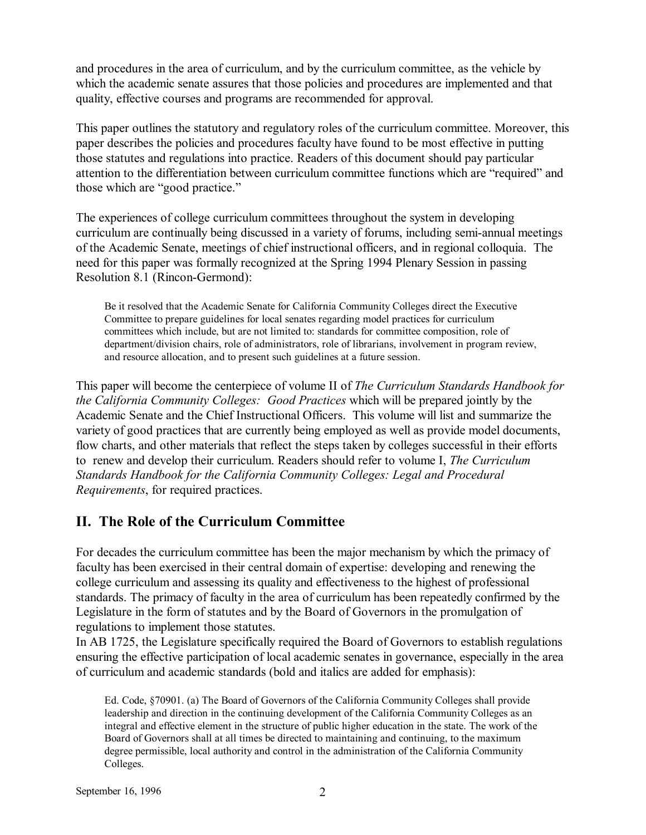and procedures in the area of curriculum, and by the curriculum committee, as the vehicle by which the academic senate assures that those policies and procedures are implemented and that quality, effective courses and programs are recommended for approval.

This paper outlines the statutory and regulatory roles of the curriculum committee. Moreover, this paper describes the policies and procedures faculty have found to be most effective in putting those statutes and regulations into practice. Readers of this document should pay particular attention to the differentiation between curriculum committee functions which are "required" and those which are "good practice."

The experiences of college curriculum committees throughout the system in developing curriculum are continually being discussed in a variety of forums, including semi-annual meetings of the Academic Senate, meetings of chief instructional officers, and in regional colloquia. The need for this paper was formally recognized at the Spring 1994 Plenary Session in passing Resolution 8.1 (Rincon-Germond):

Be it resolved that the Academic Senate for California Community Colleges direct the Executive Committee to prepare guidelines for local senates regarding model practices for curriculum committees which include, but are not limited to: standards for committee composition, role of department/division chairs, role of administrators, role of librarians, involvement in program review, and resource allocation, and to present such guidelines at a future session.

This paper will become the centerpiece of volume II of *The Curriculum Standards Handbook for the California Community Colleges: Good Practices* which will be prepared jointly by the Academic Senate and the Chief Instructional Officers. This volume will list and summarize the variety of good practices that are currently being employed as well as provide model documents, flow charts, and other materials that reflect the steps taken by colleges successful in their efforts to renew and develop their curriculum. Readers should refer to volume I, *The Curriculum Standards Handbook for the California Community Colleges: Legal and Procedural Requirements*, for required practices.

### **II. The Role of the Curriculum Committee**

For decades the curriculum committee has been the major mechanism by which the primacy of faculty has been exercised in their central domain of expertise: developing and renewing the college curriculum and assessing its quality and effectiveness to the highest of professional standards. The primacy of faculty in the area of curriculum has been repeatedly confirmed by the Legislature in the form of statutes and by the Board of Governors in the promulgation of regulations to implement those statutes.

In AB 1725, the Legislature specifically required the Board of Governors to establish regulations ensuring the effective participation of local academic senates in governance, especially in the area of curriculum and academic standards (bold and italics are added for emphasis):

Ed. Code, ß70901. (a) The Board of Governors of the California Community Colleges shall provide leadership and direction in the continuing development of the California Community Colleges as an integral and effective element in the structure of public higher education in the state. The work of the Board of Governors shall at all times be directed to maintaining and continuing, to the maximum degree permissible, local authority and control in the administration of the California Community Colleges.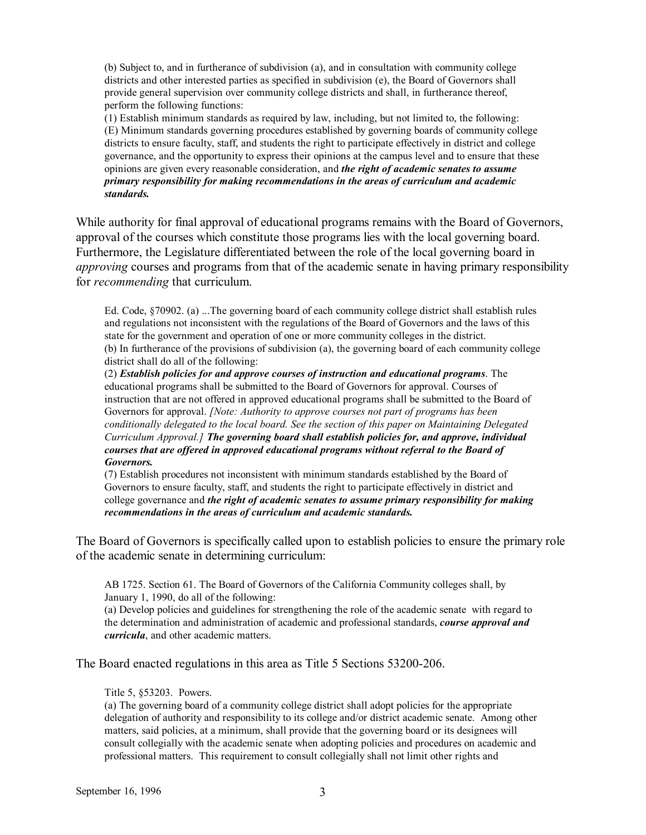(b) Subject to, and in furtherance of subdivision (a), and in consultation with community college districts and other interested parties as specified in subdivision (e), the Board of Governors shall provide general supervision over community college districts and shall, in furtherance thereof, perform the following functions:

(1) Establish minimum standards as required by law, including, but not limited to, the following: (E) Minimum standards governing procedures established by governing boards of community college districts to ensure faculty, staff, and students the right to participate effectively in district and college governance, and the opportunity to express their opinions at the campus level and to ensure that these opinions are given every reasonable consideration, and *the right of academic senates to assume primary responsibility for making recommendations in the areas of curriculum and academic standards.*

While authority for final approval of educational programs remains with the Board of Governors, approval of the courses which constitute those programs lies with the local governing board. Furthermore, the Legislature differentiated between the role of the local governing board in *approving* courses and programs from that of the academic senate in having primary responsibility for *recommending* that curriculum.

Ed. Code, ß70902. (a) ...The governing board of each community college district shall establish rules and regulations not inconsistent with the regulations of the Board of Governors and the laws of this state for the government and operation of one or more community colleges in the district. (b) In furtherance of the provisions of subdivision (a), the governing board of each community college district shall do all of the following:

(2) *Establish policies for and approve courses of instruction and educational programs*. The educational programs shall be submitted to the Board of Governors for approval. Courses of instruction that are not offered in approved educational programs shall be submitted to the Board of Governors for approval. *[Note: Authority to approve courses not part of programs has been conditionally delegated to the local board. See the section of this paper on Maintaining Delegated Curriculum Approval.] The governing board shall establish policies for, and approve, individual courses that are offered in approved educational programs without referral to the Board of Governors.*

(7) Establish procedures not inconsistent with minimum standards established by the Board of Governors to ensure faculty, staff, and students the right to participate effectively in district and college governance and *the right of academic senates to assume primary responsibility for making recommendations in the areas of curriculum and academic standards.*

The Board of Governors is specifically called upon to establish policies to ensure the primary role of the academic senate in determining curriculum:

AB 1725. Section 61. The Board of Governors of the California Community colleges shall, by January 1, 1990, do all of the following:

(a) Develop policies and guidelines for strengthening the role of the academic senate with regard to the determination and administration of academic and professional standards, *course approval and curricula*, and other academic matters.

The Board enacted regulations in this area as Title 5 Sections 53200-206.

#### Title 5, ß53203. Powers.

(a) The governing board of a community college district shall adopt policies for the appropriate delegation of authority and responsibility to its college and/or district academic senate. Among other matters, said policies, at a minimum, shall provide that the governing board or its designees will consult collegially with the academic senate when adopting policies and procedures on academic and professional matters. This requirement to consult collegially shall not limit other rights and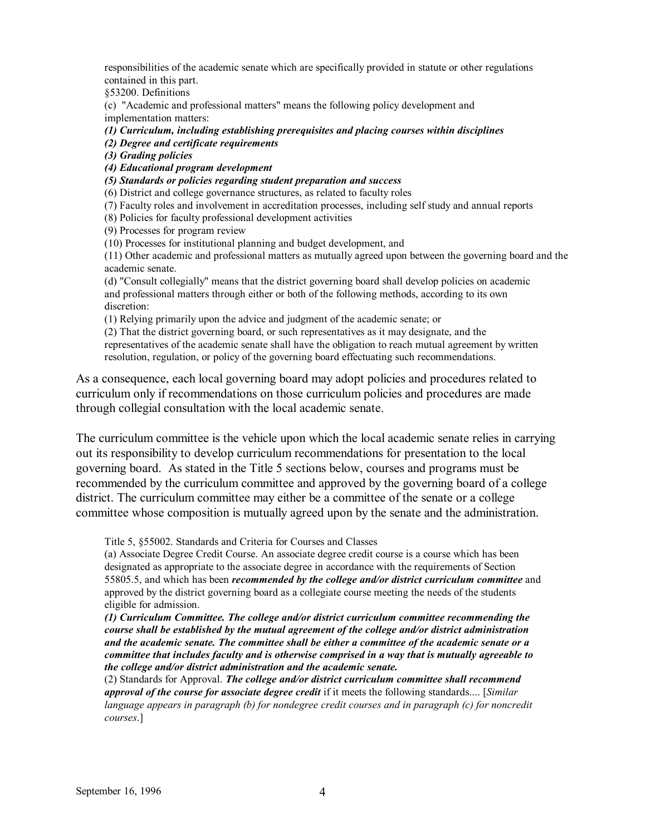responsibilities of the academic senate which are specifically provided in statute or other regulations contained in this part.

§53200. Definitions

(c) "Academic and professional matters" means the following policy development and implementation matters:

*(1) Curriculum, including establishing prerequisites and placing courses within disciplines* 

 *(2) Degree and certificate requirements* 

 *(3) Grading policies* 

 *(4) Educational program development* 

 *(5) Standards or policies regarding student preparation and success*

(6) District and college governance structures, as related to faculty roles

(7) Faculty roles and involvement in accreditation processes, including self study and annual reports

(8) Policies for faculty professional development activities

(9) Processes for program review

(10) Processes for institutional planning and budget development, and

(11) Other academic and professional matters as mutually agreed upon between the governing board and the academic senate.

(d) "Consult collegially" means that the district governing board shall develop policies on academic and professional matters through either or both of the following methods, according to its own discretion:

(1) Relying primarily upon the advice and judgment of the academic senate; or

(2) That the district governing board, or such representatives as it may designate, and the representatives of the academic senate shall have the obligation to reach mutual agreement by written resolution, regulation, or policy of the governing board effectuating such recommendations.

As a consequence, each local governing board may adopt policies and procedures related to curriculum only if recommendations on those curriculum policies and procedures are made through collegial consultation with the local academic senate.

The curriculum committee is the vehicle upon which the local academic senate relies in carrying out its responsibility to develop curriculum recommendations for presentation to the local governing board. As stated in the Title 5 sections below, courses and programs must be recommended by the curriculum committee and approved by the governing board of a college district. The curriculum committee may either be a committee of the senate or a college committee whose composition is mutually agreed upon by the senate and the administration.

Title 5, ß55002. Standards and Criteria for Courses and Classes

(a) Associate Degree Credit Course. An associate degree credit course is a course which has been designated as appropriate to the associate degree in accordance with the requirements of Section 55805.5, and which has been *recommended by the college and/or district curriculum committee* and approved by the district governing board as a collegiate course meeting the needs of the students eligible for admission.

*(1) Curriculum Committee. The college and/or district curriculum committee recommending the course shall be established by the mutual agreement of the college and/or district administration and the academic senate. The committee shall be either a committee of the academic senate or a committee that includes faculty and is otherwise comprised in a way that is mutually agreeable to the college and/or district administration and the academic senate.*

(2) Standards for Approval. *The college and/or district curriculum committee shall recommend approval of the course for associate degree credit* if it meets the following standards.... [*Similar language appears in paragraph (b) for nondegree credit courses and in paragraph (c) for noncredit courses*.]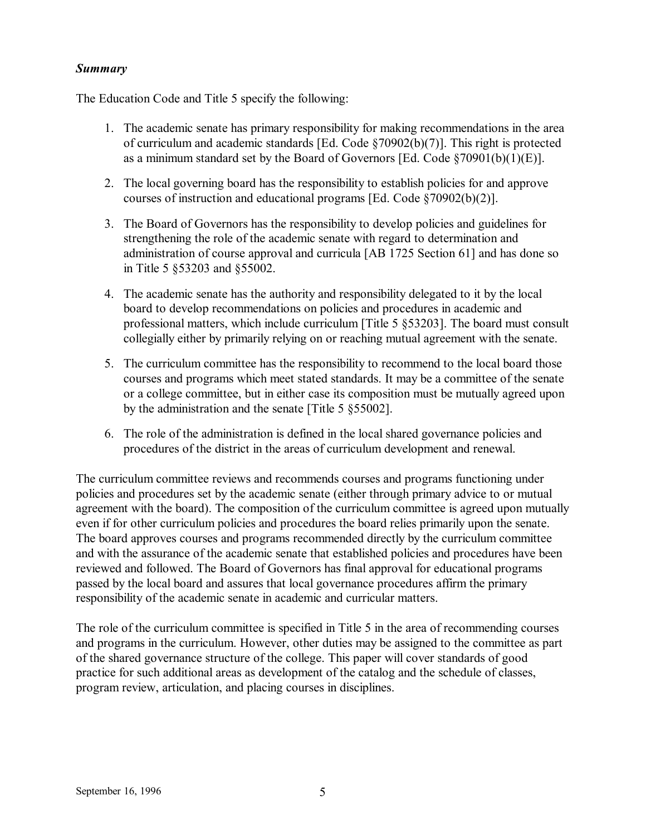### *Summary*

The Education Code and Title 5 specify the following:

- 1. The academic senate has primary responsibility for making recommendations in the area of curriculum and academic standards [Ed. Code ß70902(b)(7)]. This right is protected as a minimum standard set by the Board of Governors [Ed. Code  $$70901(b)(1)(E)$ ].
- 2. The local governing board has the responsibility to establish policies for and approve courses of instruction and educational programs [Ed. Code  $\S70902(b)(2)$ ].
- 3. The Board of Governors has the responsibility to develop policies and guidelines for strengthening the role of the academic senate with regard to determination and administration of course approval and curricula [AB 1725 Section 61] and has done so in Title 5 ß53203 and ß55002.
- 4. The academic senate has the authority and responsibility delegated to it by the local board to develop recommendations on policies and procedures in academic and professional matters, which include curriculum [Title 5 ß53203]. The board must consult collegially either by primarily relying on or reaching mutual agreement with the senate.
- 5. The curriculum committee has the responsibility to recommend to the local board those courses and programs which meet stated standards. It may be a committee of the senate or a college committee, but in either case its composition must be mutually agreed upon by the administration and the senate [Title 5 ß55002].
- 6. The role of the administration is defined in the local shared governance policies and procedures of the district in the areas of curriculum development and renewal.

The curriculum committee reviews and recommends courses and programs functioning under policies and procedures set by the academic senate (either through primary advice to or mutual agreement with the board). The composition of the curriculum committee is agreed upon mutually even if for other curriculum policies and procedures the board relies primarily upon the senate. The board approves courses and programs recommended directly by the curriculum committee and with the assurance of the academic senate that established policies and procedures have been reviewed and followed. The Board of Governors has final approval for educational programs passed by the local board and assures that local governance procedures affirm the primary responsibility of the academic senate in academic and curricular matters.

The role of the curriculum committee is specified in Title 5 in the area of recommending courses and programs in the curriculum. However, other duties may be assigned to the committee as part of the shared governance structure of the college. This paper will cover standards of good practice for such additional areas as development of the catalog and the schedule of classes, program review, articulation, and placing courses in disciplines.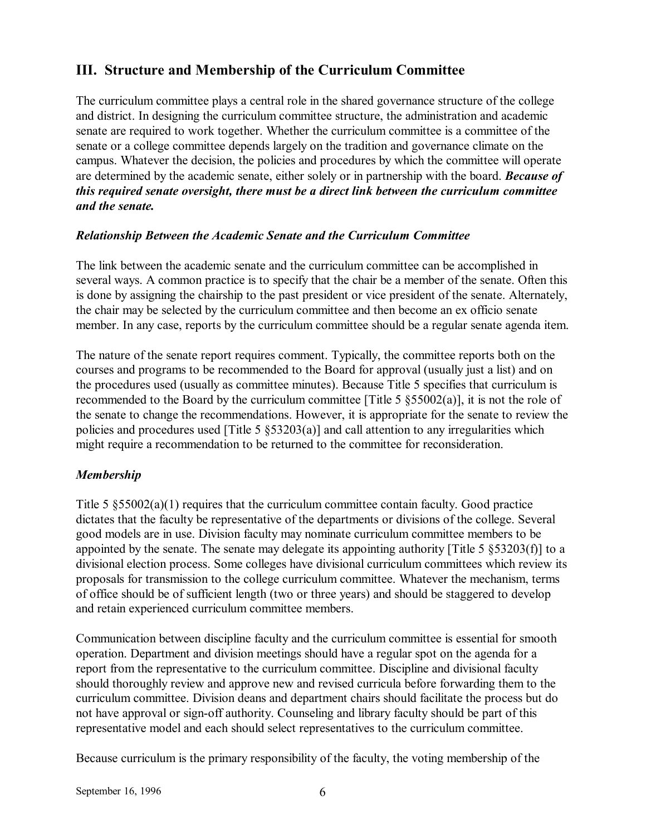### **III. Structure and Membership of the Curriculum Committee**

The curriculum committee plays a central role in the shared governance structure of the college and district. In designing the curriculum committee structure, the administration and academic senate are required to work together. Whether the curriculum committee is a committee of the senate or a college committee depends largely on the tradition and governance climate on the campus. Whatever the decision, the policies and procedures by which the committee will operate are determined by the academic senate, either solely or in partnership with the board. *Because of this required senate oversight, there must be a direct link between the curriculum committee and the senate.*

### *Relationship Between the Academic Senate and the Curriculum Committee*

The link between the academic senate and the curriculum committee can be accomplished in several ways. A common practice is to specify that the chair be a member of the senate. Often this is done by assigning the chairship to the past president or vice president of the senate. Alternately, the chair may be selected by the curriculum committee and then become an ex officio senate member. In any case, reports by the curriculum committee should be a regular senate agenda item.

The nature of the senate report requires comment. Typically, the committee reports both on the courses and programs to be recommended to the Board for approval (usually just a list) and on the procedures used (usually as committee minutes). Because Title 5 specifies that curriculum is recommended to the Board by the curriculum committee [Title 5  $\S 55002(a)$ ], it is not the role of the senate to change the recommendations. However, it is appropriate for the senate to review the policies and procedures used [Title 5  $\S$ 53203(a)] and call attention to any irregularities which might require a recommendation to be returned to the committee for reconsideration.

### *Membership*

Title 5  $$55002(a)(1)$  requires that the curriculum committee contain faculty. Good practice dictates that the faculty be representative of the departments or divisions of the college. Several good models are in use. Division faculty may nominate curriculum committee members to be appointed by the senate. The senate may delegate its appointing authority [Title 5 ß53203(f)] to a divisional election process. Some colleges have divisional curriculum committees which review its proposals for transmission to the college curriculum committee. Whatever the mechanism, terms of office should be of sufficient length (two or three years) and should be staggered to develop and retain experienced curriculum committee members.

Communication between discipline faculty and the curriculum committee is essential for smooth operation. Department and division meetings should have a regular spot on the agenda for a report from the representative to the curriculum committee. Discipline and divisional faculty should thoroughly review and approve new and revised curricula before forwarding them to the curriculum committee. Division deans and department chairs should facilitate the process but do not have approval or sign-off authority. Counseling and library faculty should be part of this representative model and each should select representatives to the curriculum committee.

Because curriculum is the primary responsibility of the faculty, the voting membership of the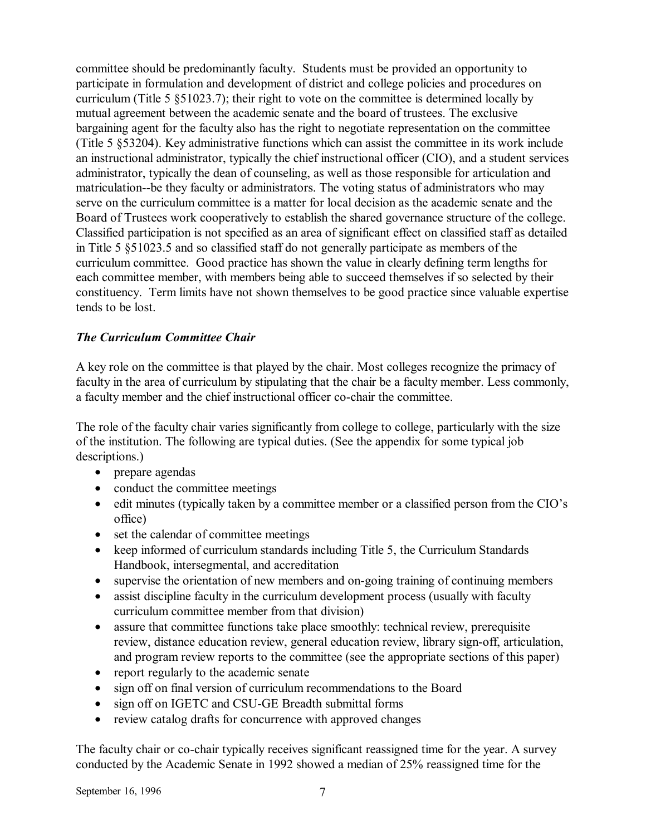committee should be predominantly faculty. Students must be provided an opportunity to participate in formulation and development of district and college policies and procedures on curriculum (Title 5 ß51023.7); their right to vote on the committee is determined locally by mutual agreement between the academic senate and the board of trustees. The exclusive bargaining agent for the faculty also has the right to negotiate representation on the committee (Title 5 ß53204). Key administrative functions which can assist the committee in its work include an instructional administrator, typically the chief instructional officer (CIO), and a student services administrator, typically the dean of counseling, as well as those responsible for articulation and matriculation--be they faculty or administrators. The voting status of administrators who may serve on the curriculum committee is a matter for local decision as the academic senate and the Board of Trustees work cooperatively to establish the shared governance structure of the college. Classified participation is not specified as an area of significant effect on classified staff as detailed in Title 5 ß51023.5 and so classified staff do not generally participate as members of the curriculum committee. Good practice has shown the value in clearly defining term lengths for each committee member, with members being able to succeed themselves if so selected by their constituency. Term limits have not shown themselves to be good practice since valuable expertise tends to be lost.

### *The Curriculum Committee Chair*

A key role on the committee is that played by the chair. Most colleges recognize the primacy of faculty in the area of curriculum by stipulating that the chair be a faculty member. Less commonly, a faculty member and the chief instructional officer co-chair the committee.

The role of the faculty chair varies significantly from college to college, particularly with the size of the institution. The following are typical duties. (See the appendix for some typical job descriptions.)

- prepare agendas
- conduct the committee meetings
- edit minutes (typically taken by a committee member or a classified person from the CIO's office)
- set the calendar of committee meetings
- keep informed of curriculum standards including Title 5, the Curriculum Standards Handbook, intersegmental, and accreditation
- supervise the orientation of new members and on-going training of continuing members
- assist discipline faculty in the curriculum development process (usually with faculty curriculum committee member from that division)
- assure that committee functions take place smoothly: technical review, prerequisite review, distance education review, general education review, library sign-off, articulation, and program review reports to the committee (see the appropriate sections of this paper)
- report regularly to the academic senate
- sign off on final version of curriculum recommendations to the Board
- sign off on IGETC and CSU-GE Breadth submittal forms
- review catalog drafts for concurrence with approved changes

The faculty chair or co-chair typically receives significant reassigned time for the year. A survey conducted by the Academic Senate in 1992 showed a median of 25% reassigned time for the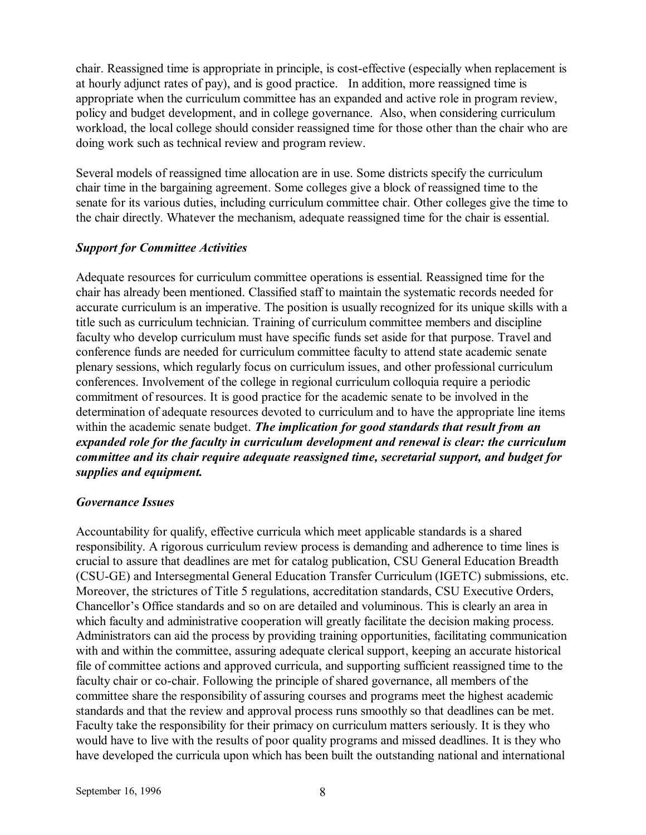chair. Reassigned time is appropriate in principle, is cost-effective (especially when replacement is at hourly adjunct rates of pay), and is good practice. In addition, more reassigned time is appropriate when the curriculum committee has an expanded and active role in program review, policy and budget development, and in college governance. Also, when considering curriculum workload, the local college should consider reassigned time for those other than the chair who are doing work such as technical review and program review.

Several models of reassigned time allocation are in use. Some districts specify the curriculum chair time in the bargaining agreement. Some colleges give a block of reassigned time to the senate for its various duties, including curriculum committee chair. Other colleges give the time to the chair directly. Whatever the mechanism, adequate reassigned time for the chair is essential.

### *Support for Committee Activities*

Adequate resources for curriculum committee operations is essential. Reassigned time for the chair has already been mentioned. Classified staff to maintain the systematic records needed for accurate curriculum is an imperative. The position is usually recognized for its unique skills with a title such as curriculum technician. Training of curriculum committee members and discipline faculty who develop curriculum must have specific funds set aside for that purpose. Travel and conference funds are needed for curriculum committee faculty to attend state academic senate plenary sessions, which regularly focus on curriculum issues, and other professional curriculum conferences. Involvement of the college in regional curriculum colloquia require a periodic commitment of resources. It is good practice for the academic senate to be involved in the determination of adequate resources devoted to curriculum and to have the appropriate line items within the academic senate budget. *The implication for good standards that result from an expanded role for the faculty in curriculum development and renewal is clear: the curriculum committee and its chair require adequate reassigned time, secretarial support, and budget for supplies and equipment.*

### *Governance Issues*

Accountability for qualify, effective curricula which meet applicable standards is a shared responsibility. A rigorous curriculum review process is demanding and adherence to time lines is crucial to assure that deadlines are met for catalog publication, CSU General Education Breadth (CSU-GE) and Intersegmental General Education Transfer Curriculum (IGETC) submissions, etc. Moreover, the strictures of Title 5 regulations, accreditation standards, CSU Executive Orders, Chancellor's Office standards and so on are detailed and voluminous. This is clearly an area in which faculty and administrative cooperation will greatly facilitate the decision making process. Administrators can aid the process by providing training opportunities, facilitating communication with and within the committee, assuring adequate clerical support, keeping an accurate historical file of committee actions and approved curricula, and supporting sufficient reassigned time to the faculty chair or co-chair. Following the principle of shared governance, all members of the committee share the responsibility of assuring courses and programs meet the highest academic standards and that the review and approval process runs smoothly so that deadlines can be met. Faculty take the responsibility for their primacy on curriculum matters seriously. It is they who would have to live with the results of poor quality programs and missed deadlines. It is they who have developed the curricula upon which has been built the outstanding national and international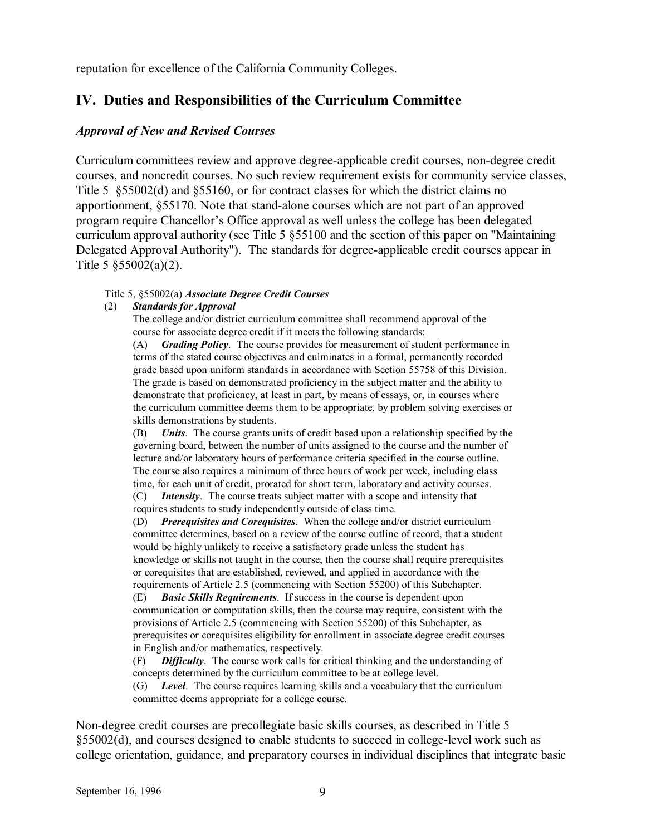reputation for excellence of the California Community Colleges.

### **IV. Duties and Responsibilities of the Curriculum Committee**

### *Approval of New and Revised Courses*

Curriculum committees review and approve degree-applicable credit courses, non-degree credit courses, and noncredit courses. No such review requirement exists for community service classes, Title 5 § \$55002(d) and § 55160, or for contract classes for which the district claims no apportionment, ß55170. Note that stand-alone courses which are not part of an approved program require Chancellor's Office approval as well unless the college has been delegated curriculum approval authority (see Title 5 ß55100 and the section of this paper on "Maintaining Delegated Approval Authority"). The standards for degree-applicable credit courses appear in Title 5 ß55002(a)(2).

#### Title 5, ß55002(a) *Associate Degree Credit Courses*

#### (2) *Standards for Approval*

 The college and/or district curriculum committee shall recommend approval of the course for associate degree credit if it meets the following standards:

 (A) *Grading Policy*. The course provides for measurement of student performance in terms of the stated course objectives and culminates in a formal, permanently recorded grade based upon uniform standards in accordance with Section 55758 of this Division. The grade is based on demonstrated proficiency in the subject matter and the ability to demonstrate that proficiency, at least in part, by means of essays, or, in courses where the curriculum committee deems them to be appropriate, by problem solving exercises or skills demonstrations by students.

 (B) *Units*. The course grants units of credit based upon a relationship specified by the governing board, between the number of units assigned to the course and the number of lecture and/or laboratory hours of performance criteria specified in the course outline. The course also requires a minimum of three hours of work per week, including class time, for each unit of credit, prorated for short term, laboratory and activity courses.

 (C) *Intensity*. The course treats subject matter with a scope and intensity that requires students to study independently outside of class time.

 (D) *Prerequisites and Corequisites*. When the college and/or district curriculum committee determines, based on a review of the course outline of record, that a student would be highly unlikely to receive a satisfactory grade unless the student has knowledge or skills not taught in the course, then the course shall require prerequisites or corequisites that are established, reviewed, and applied in accordance with the requirements of Article 2.5 (commencing with Section 55200) of this Subchapter.

 (E) *Basic Skills Requirements*. If success in the course is dependent upon communication or computation skills, then the course may require, consistent with the provisions of Article 2.5 (commencing with Section 55200) of this Subchapter, as prerequisites or corequisites eligibility for enrollment in associate degree credit courses in English and/or mathematics, respectively.

 (F) *Difficulty*. The course work calls for critical thinking and the understanding of concepts determined by the curriculum committee to be at college level.

 (G) *Level*. The course requires learning skills and a vocabulary that the curriculum committee deems appropriate for a college course.

Non-degree credit courses are precollegiate basic skills courses, as described in Title 5 ß55002(d), and courses designed to enable students to succeed in college-level work such as college orientation, guidance, and preparatory courses in individual disciplines that integrate basic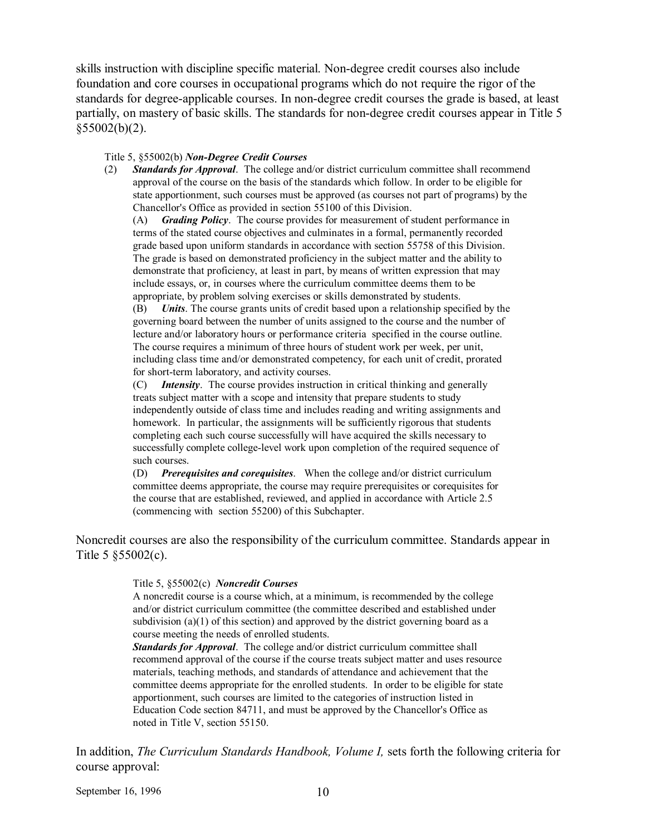skills instruction with discipline specific material. Non-degree credit courses also include foundation and core courses in occupational programs which do not require the rigor of the standards for degree-applicable courses. In non-degree credit courses the grade is based, at least partially, on mastery of basic skills. The standards for non-degree credit courses appear in Title 5  $$55002(b)(2)$ .

#### Title 5, ß55002(b) *Non-Degree Credit Courses*

(2) *Standards for Approval*. The college and/or district curriculum committee shall recommend approval of the course on the basis of the standards which follow. In order to be eligible for state apportionment, such courses must be approved (as courses not part of programs) by the Chancellor's Office as provided in section 55100 of this Division.

 (A) *Grading Policy*. The course provides for measurement of student performance in terms of the stated course objectives and culminates in a formal, permanently recorded grade based upon uniform standards in accordance with section 55758 of this Division. The grade is based on demonstrated proficiency in the subject matter and the ability to demonstrate that proficiency, at least in part, by means of written expression that may include essays, or, in courses where the curriculum committee deems them to be appropriate, by problem solving exercises or skills demonstrated by students.

 (B) *Units*. The course grants units of credit based upon a relationship specified by the governing board between the number of units assigned to the course and the number of lecture and/or laboratory hours or performance criteria specified in the course outline. The course requires a minimum of three hours of student work per week, per unit, including class time and/or demonstrated competency, for each unit of credit, prorated for short-term laboratory, and activity courses.

 (C) *Intensity*. The course provides instruction in critical thinking and generally treats subject matter with a scope and intensity that prepare students to study independently outside of class time and includes reading and writing assignments and homework. In particular, the assignments will be sufficiently rigorous that students completing each such course successfully will have acquired the skills necessary to successfully complete college-level work upon completion of the required sequence of such courses.

 (D) *Prerequisites and corequisites*. When the college and/or district curriculum committee deems appropriate, the course may require prerequisites or corequisites for the course that are established, reviewed, and applied in accordance with Article 2.5 (commencing with section 55200) of this Subchapter.

Noncredit courses are also the responsibility of the curriculum committee. Standards appear in Title 5 ß55002(c).

#### Title 5, ß55002(c) *Noncredit Courses*

 A noncredit course is a course which, at a minimum, is recommended by the college and/or district curriculum committee (the committee described and established under subdivision (a)(1) of this section) and approved by the district governing board as a course meeting the needs of enrolled students.

 *Standards for Approval*. The college and/or district curriculum committee shall recommend approval of the course if the course treats subject matter and uses resource materials, teaching methods, and standards of attendance and achievement that the committee deems appropriate for the enrolled students. In order to be eligible for state apportionment, such courses are limited to the categories of instruction listed in Education Code section 84711, and must be approved by the Chancellor's Office as noted in Title V, section 55150.

In addition, *The Curriculum Standards Handbook, Volume I,* sets forth the following criteria for course approval:

September 16, 1996 10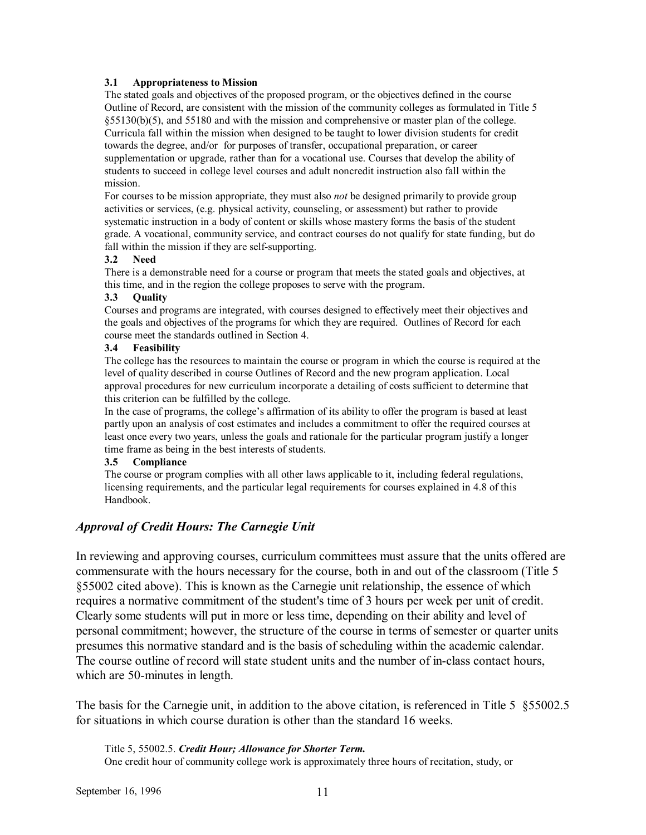#### **3.1 Appropriateness to Mission**

The stated goals and objectives of the proposed program, or the objectives defined in the course Outline of Record, are consistent with the mission of the community colleges as formulated in Title 5 ß55130(b)(5), and 55180 and with the mission and comprehensive or master plan of the college. Curricula fall within the mission when designed to be taught to lower division students for credit towards the degree, and/or for purposes of transfer, occupational preparation, or career supplementation or upgrade, rather than for a vocational use. Courses that develop the ability of students to succeed in college level courses and adult noncredit instruction also fall within the mission.

For courses to be mission appropriate, they must also *not* be designed primarily to provide group activities or services, (e.g. physical activity, counseling, or assessment) but rather to provide systematic instruction in a body of content or skills whose mastery forms the basis of the student grade. A vocational, community service, and contract courses do not qualify for state funding, but do fall within the mission if they are self-supporting.

#### **3.2 Need**

There is a demonstrable need for a course or program that meets the stated goals and objectives, at this time, and in the region the college proposes to serve with the program.

#### **3.3 Quality**

Courses and programs are integrated, with courses designed to effectively meet their objectives and the goals and objectives of the programs for which they are required. Outlines of Record for each course meet the standards outlined in Section 4.

#### **3.4 Feasibility**

The college has the resources to maintain the course or program in which the course is required at the level of quality described in course Outlines of Record and the new program application. Local approval procedures for new curriculum incorporate a detailing of costs sufficient to determine that this criterion can be fulfilled by the college.

In the case of programs, the college's affirmation of its ability to offer the program is based at least partly upon an analysis of cost estimates and includes a commitment to offer the required courses at least once every two years, unless the goals and rationale for the particular program justify a longer time frame as being in the best interests of students.

#### **3.5 Compliance**

The course or program complies with all other laws applicable to it, including federal regulations, licensing requirements, and the particular legal requirements for courses explained in 4.8 of this Handbook.

### *Approval of Credit Hours: The Carnegie Unit*

In reviewing and approving courses, curriculum committees must assure that the units offered are commensurate with the hours necessary for the course, both in and out of the classroom (Title 5 ß55002 cited above). This is known as the Carnegie unit relationship, the essence of which requires a normative commitment of the student's time of 3 hours per week per unit of credit. Clearly some students will put in more or less time, depending on their ability and level of personal commitment; however, the structure of the course in terms of semester or quarter units presumes this normative standard and is the basis of scheduling within the academic calendar. The course outline of record will state student units and the number of in-class contact hours, which are 50-minutes in length.

The basis for the Carnegie unit, in addition to the above citation, is referenced in Title 5 § 55002.5 for situations in which course duration is other than the standard 16 weeks.

 Title 5, 55002.5. *Credit Hour; Allowance for Shorter Term.* One credit hour of community college work is approximately three hours of recitation, study, or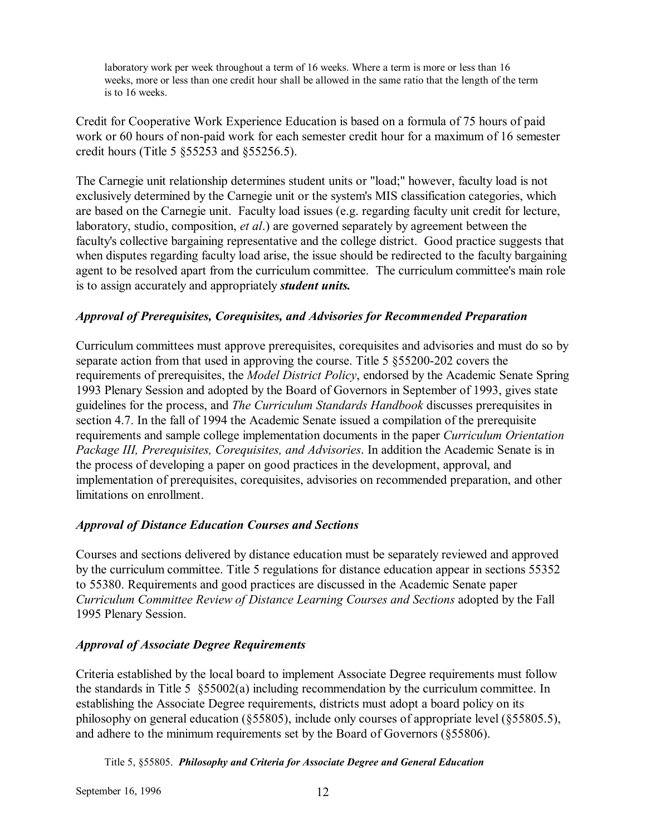laboratory work per week throughout a term of 16 weeks. Where a term is more or less than 16 weeks, more or less than one credit hour shall be allowed in the same ratio that the length of the term is to 16 weeks.

Credit for Cooperative Work Experience Education is based on a formula of 75 hours of paid work or 60 hours of non-paid work for each semester credit hour for a maximum of 16 semester credit hours (Title 5 ß55253 and ß55256.5).

The Carnegie unit relationship determines student units or "load;" however, faculty load is not exclusively determined by the Carnegie unit or the system's MIS classification categories, which are based on the Carnegie unit. Faculty load issues (e.g. regarding faculty unit credit for lecture, laboratory, studio, composition, *et al*.) are governed separately by agreement between the faculty's collective bargaining representative and the college district. Good practice suggests that when disputes regarding faculty load arise, the issue should be redirected to the faculty bargaining agent to be resolved apart from the curriculum committee. The curriculum committee's main role is to assign accurately and appropriately *student units.*

### *Approval of Prerequisites, Corequisites, and Advisories for Recommended Preparation*

Curriculum committees must approve prerequisites, corequisites and advisories and must do so by separate action from that used in approving the course. Title 5 ß55200-202 covers the requirements of prerequisites, the *Model District Policy*, endorsed by the Academic Senate Spring 1993 Plenary Session and adopted by the Board of Governors in September of 1993, gives state guidelines for the process, and *The Curriculum Standards Handbook* discusses prerequisites in section 4.7. In the fall of 1994 the Academic Senate issued a compilation of the prerequisite requirements and sample college implementation documents in the paper *Curriculum Orientation Package III, Prerequisites, Corequisites, and Advisories*. In addition the Academic Senate is in the process of developing a paper on good practices in the development, approval, and implementation of prerequisites, corequisites, advisories on recommended preparation, and other limitations on enrollment.

### *Approval of Distance Education Courses and Sections*

Courses and sections delivered by distance education must be separately reviewed and approved by the curriculum committee. Title 5 regulations for distance education appear in sections 55352 to 55380. Requirements and good practices are discussed in the Academic Senate paper *Curriculum Committee Review of Distance Learning Courses and Sections* adopted by the Fall 1995 Plenary Session.

### *Approval of Associate Degree Requirements*

Criteria established by the local board to implement Associate Degree requirements must follow the standards in Title 5 ß55002(a) including recommendation by the curriculum committee. In establishing the Associate Degree requirements, districts must adopt a board policy on its philosophy on general education (ß55805), include only courses of appropriate level (ß55805.5), and adhere to the minimum requirements set by the Board of Governors (ß55806).

Title 5, ß55805. *Philosophy and Criteria for Associate Degree and General Education*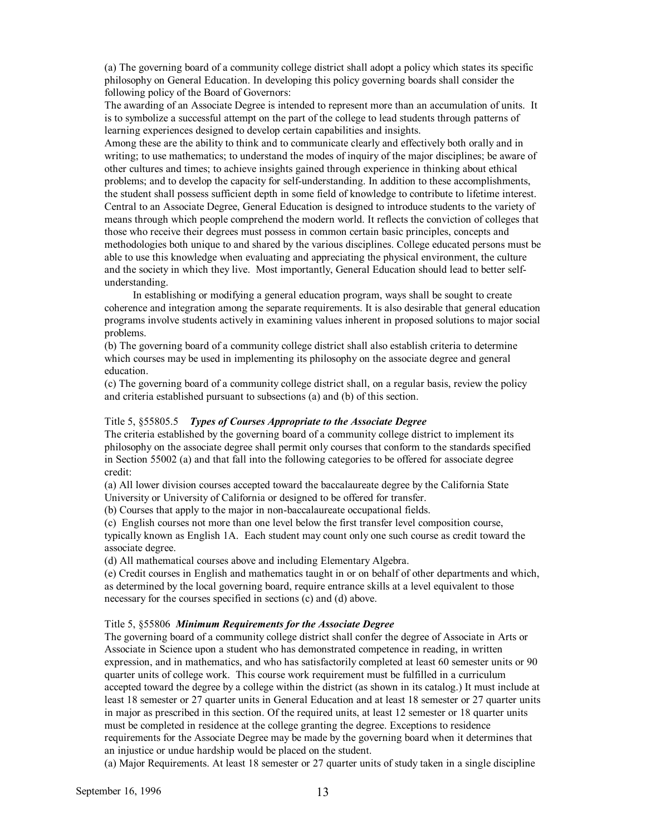(a) The governing board of a community college district shall adopt a policy which states its specific philosophy on General Education. In developing this policy governing boards shall consider the following policy of the Board of Governors:

The awarding of an Associate Degree is intended to represent more than an accumulation of units. It is to symbolize a successful attempt on the part of the college to lead students through patterns of learning experiences designed to develop certain capabilities and insights.

Among these are the ability to think and to communicate clearly and effectively both orally and in writing; to use mathematics; to understand the modes of inquiry of the major disciplines; be aware of other cultures and times; to achieve insights gained through experience in thinking about ethical problems; and to develop the capacity for self-understanding. In addition to these accomplishments, the student shall possess sufficient depth in some field of knowledge to contribute to lifetime interest. Central to an Associate Degree, General Education is designed to introduce students to the variety of means through which people comprehend the modern world. It reflects the conviction of colleges that those who receive their degrees must possess in common certain basic principles, concepts and methodologies both unique to and shared by the various disciplines. College educated persons must be able to use this knowledge when evaluating and appreciating the physical environment, the culture and the society in which they live. Most importantly, General Education should lead to better selfunderstanding.

 In establishing or modifying a general education program, ways shall be sought to create coherence and integration among the separate requirements. It is also desirable that general education programs involve students actively in examining values inherent in proposed solutions to major social problems.

(b) The governing board of a community college district shall also establish criteria to determine which courses may be used in implementing its philosophy on the associate degree and general education.

(c) The governing board of a community college district shall, on a regular basis, review the policy and criteria established pursuant to subsections (a) and (b) of this section.

#### Title 5, ß55805.5 *Types of Courses Appropriate to the Associate Degree*

The criteria established by the governing board of a community college district to implement its philosophy on the associate degree shall permit only courses that conform to the standards specified in Section 55002 (a) and that fall into the following categories to be offered for associate degree credit:

(a) All lower division courses accepted toward the baccalaureate degree by the California State University or University of California or designed to be offered for transfer.

(b) Courses that apply to the major in non-baccalaureate occupational fields.

(c) English courses not more than one level below the first transfer level composition course, typically known as English 1A. Each student may count only one such course as credit toward the associate degree.

(d) All mathematical courses above and including Elementary Algebra.

(e) Credit courses in English and mathematics taught in or on behalf of other departments and which, as determined by the local governing board, require entrance skills at a level equivalent to those necessary for the courses specified in sections (c) and (d) above.

#### Title 5, ß55806 *Minimum Requirements for the Associate Degree*

The governing board of a community college district shall confer the degree of Associate in Arts or Associate in Science upon a student who has demonstrated competence in reading, in written expression, and in mathematics, and who has satisfactorily completed at least 60 semester units or 90 quarter units of college work. This course work requirement must be fulfilled in a curriculum accepted toward the degree by a college within the district (as shown in its catalog.) It must include at least 18 semester or 27 quarter units in General Education and at least 18 semester or 27 quarter units in major as prescribed in this section. Of the required units, at least 12 semester or 18 quarter units must be completed in residence at the college granting the degree. Exceptions to residence requirements for the Associate Degree may be made by the governing board when it determines that an injustice or undue hardship would be placed on the student.

(a) Major Requirements. At least 18 semester or 27 quarter units of study taken in a single discipline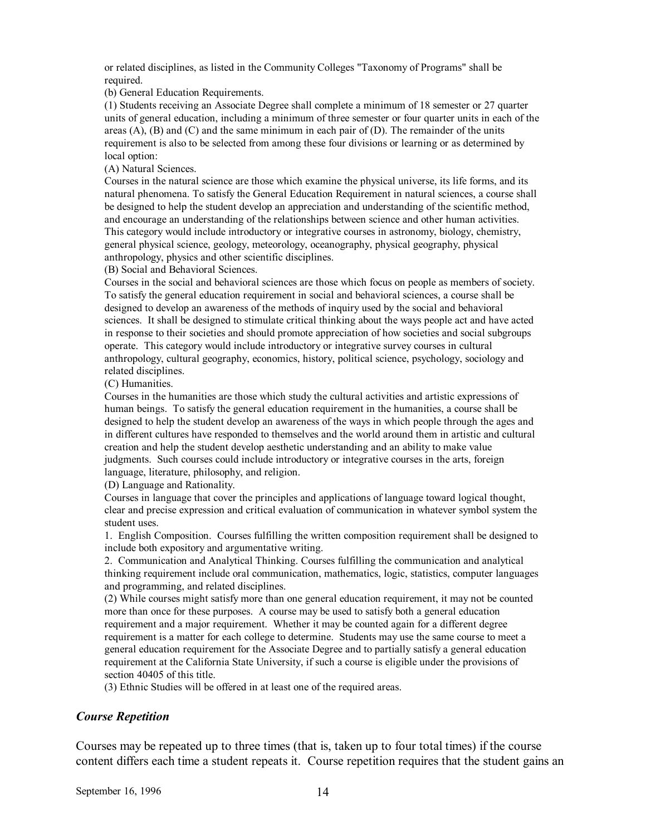or related disciplines, as listed in the Community Colleges "Taxonomy of Programs" shall be required.

(b) General Education Requirements.

(1) Students receiving an Associate Degree shall complete a minimum of 18 semester or 27 quarter units of general education, including a minimum of three semester or four quarter units in each of the areas  $(A)$ ,  $(B)$  and  $(C)$  and the same minimum in each pair of  $(D)$ . The remainder of the units requirement is also to be selected from among these four divisions or learning or as determined by local option:

(A) Natural Sciences.

Courses in the natural science are those which examine the physical universe, its life forms, and its natural phenomena. To satisfy the General Education Requirement in natural sciences, a course shall be designed to help the student develop an appreciation and understanding of the scientific method, and encourage an understanding of the relationships between science and other human activities. This category would include introductory or integrative courses in astronomy, biology, chemistry, general physical science, geology, meteorology, oceanography, physical geography, physical anthropology, physics and other scientific disciplines.

(B) Social and Behavioral Sciences.

Courses in the social and behavioral sciences are those which focus on people as members of society. To satisfy the general education requirement in social and behavioral sciences, a course shall be designed to develop an awareness of the methods of inquiry used by the social and behavioral sciences. It shall be designed to stimulate critical thinking about the ways people act and have acted in response to their societies and should promote appreciation of how societies and social subgroups operate. This category would include introductory or integrative survey courses in cultural anthropology, cultural geography, economics, history, political science, psychology, sociology and related disciplines.

(C) Humanities.

Courses in the humanities are those which study the cultural activities and artistic expressions of human beings. To satisfy the general education requirement in the humanities, a course shall be designed to help the student develop an awareness of the ways in which people through the ages and in different cultures have responded to themselves and the world around them in artistic and cultural creation and help the student develop aesthetic understanding and an ability to make value judgments. Such courses could include introductory or integrative courses in the arts, foreign language, literature, philosophy, and religion.

(D) Language and Rationality.

Courses in language that cover the principles and applications of language toward logical thought, clear and precise expression and critical evaluation of communication in whatever symbol system the student uses.

1. English Composition. Courses fulfilling the written composition requirement shall be designed to include both expository and argumentative writing.

2. Communication and Analytical Thinking. Courses fulfilling the communication and analytical thinking requirement include oral communication, mathematics, logic, statistics, computer languages and programming, and related disciplines.

(2) While courses might satisfy more than one general education requirement, it may not be counted more than once for these purposes. A course may be used to satisfy both a general education requirement and a major requirement. Whether it may be counted again for a different degree requirement is a matter for each college to determine. Students may use the same course to meet a general education requirement for the Associate Degree and to partially satisfy a general education requirement at the California State University, if such a course is eligible under the provisions of section 40405 of this title.

(3) Ethnic Studies will be offered in at least one of the required areas.

### *Course Repetition*

Courses may be repeated up to three times (that is, taken up to four total times) if the course content differs each time a student repeats it. Course repetition requires that the student gains an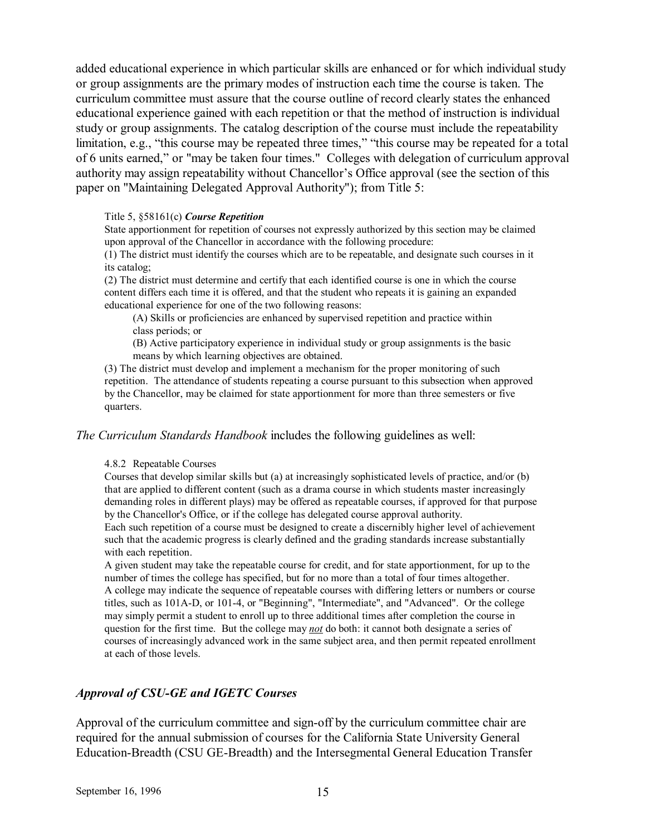added educational experience in which particular skills are enhanced or for which individual study or group assignments are the primary modes of instruction each time the course is taken. The curriculum committee must assure that the course outline of record clearly states the enhanced educational experience gained with each repetition or that the method of instruction is individual study or group assignments. The catalog description of the course must include the repeatability limitation, e.g., "this course may be repeated three times," "this course may be repeated for a total of 6 units earned,î or "may be taken four times." Colleges with delegation of curriculum approval authority may assign repeatability without Chancellor's Office approval (see the section of this paper on "Maintaining Delegated Approval Authority"); from Title 5:

#### Title 5, ß58161(c) *Course Repetition*

State apportionment for repetition of courses not expressly authorized by this section may be claimed upon approval of the Chancellor in accordance with the following procedure:

(1) The district must identify the courses which are to be repeatable, and designate such courses in it its catalog;

(2) The district must determine and certify that each identified course is one in which the course content differs each time it is offered, and that the student who repeats it is gaining an expanded educational experience for one of the two following reasons:

 (A) Skills or proficiencies are enhanced by supervised repetition and practice within class periods; or

 (B) Active participatory experience in individual study or group assignments is the basic means by which learning objectives are obtained.

(3) The district must develop and implement a mechanism for the proper monitoring of such repetition. The attendance of students repeating a course pursuant to this subsection when approved by the Chancellor, may be claimed for state apportionment for more than three semesters or five quarters.

*The Curriculum Standards Handbook* includes the following guidelines as well:

#### 4.8.2 Repeatable Courses

Courses that develop similar skills but (a) at increasingly sophisticated levels of practice, and/or (b) that are applied to different content (such as a drama course in which students master increasingly demanding roles in different plays) may be offered as repeatable courses, if approved for that purpose by the Chancellor's Office, or if the college has delegated course approval authority.

Each such repetition of a course must be designed to create a discernibly higher level of achievement such that the academic progress is clearly defined and the grading standards increase substantially with each repetition.

A given student may take the repeatable course for credit, and for state apportionment, for up to the number of times the college has specified, but for no more than a total of four times altogether. A college may indicate the sequence of repeatable courses with differing letters or numbers or course titles, such as 101A-D, or 101-4, or "Beginning", "Intermediate", and "Advanced". Or the college may simply permit a student to enroll up to three additional times after completion the course in question for the first time. But the college may *not* do both: it cannot both designate a series of courses of increasingly advanced work in the same subject area, and then permit repeated enrollment at each of those levels.

### *Approval of CSU-GE and IGETC Courses*

Approval of the curriculum committee and sign-off by the curriculum committee chair are required for the annual submission of courses for the California State University General Education-Breadth (CSU GE-Breadth) and the Intersegmental General Education Transfer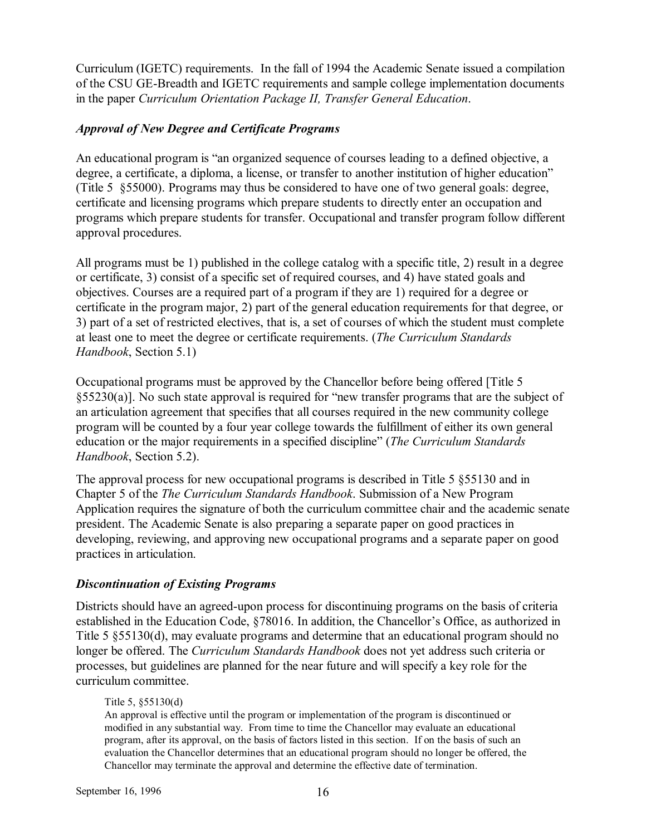Curriculum (IGETC) requirements. In the fall of 1994 the Academic Senate issued a compilation of the CSU GE-Breadth and IGETC requirements and sample college implementation documents in the paper *Curriculum Orientation Package II, Transfer General Education*.

### *Approval of New Degree and Certificate Programs*

An educational program is "an organized sequence of courses leading to a defined objective, a degree, a certificate, a diploma, a license, or transfer to another institution of higher education" (Title 5 ß55000). Programs may thus be considered to have one of two general goals: degree, certificate and licensing programs which prepare students to directly enter an occupation and programs which prepare students for transfer. Occupational and transfer program follow different approval procedures.

All programs must be 1) published in the college catalog with a specific title, 2) result in a degree or certificate, 3) consist of a specific set of required courses, and 4) have stated goals and objectives. Courses are a required part of a program if they are 1) required for a degree or certificate in the program major, 2) part of the general education requirements for that degree, or 3) part of a set of restricted electives, that is, a set of courses of which the student must complete at least one to meet the degree or certificate requirements. (*The Curriculum Standards Handbook*, Section 5.1)

Occupational programs must be approved by the Chancellor before being offered [Title 5  $\S55230(a)$ ]. No such state approval is required for "new transfer programs that are the subject of an articulation agreement that specifies that all courses required in the new community college program will be counted by a four year college towards the fulfillment of either its own general education or the major requirements in a specified discipline" (*The Curriculum Standards Handbook*, Section 5.2).

The approval process for new occupational programs is described in Title 5 ß55130 and in Chapter 5 of the *The Curriculum Standards Handbook*. Submission of a New Program Application requires the signature of both the curriculum committee chair and the academic senate president. The Academic Senate is also preparing a separate paper on good practices in developing, reviewing, and approving new occupational programs and a separate paper on good practices in articulation.

### *Discontinuation of Existing Programs*

Districts should have an agreed-upon process for discontinuing programs on the basis of criteria established in the Education Code, §78016. In addition, the Chancellor's Office, as authorized in Title 5 ß55130(d), may evaluate programs and determine that an educational program should no longer be offered. The *Curriculum Standards Handbook* does not yet address such criteria or processes, but guidelines are planned for the near future and will specify a key role for the curriculum committee.

### Title 5, ß55130(d)

An approval is effective until the program or implementation of the program is discontinued or modified in any substantial way. From time to time the Chancellor may evaluate an educational program, after its approval, on the basis of factors listed in this section. If on the basis of such an evaluation the Chancellor determines that an educational program should no longer be offered, the Chancellor may terminate the approval and determine the effective date of termination.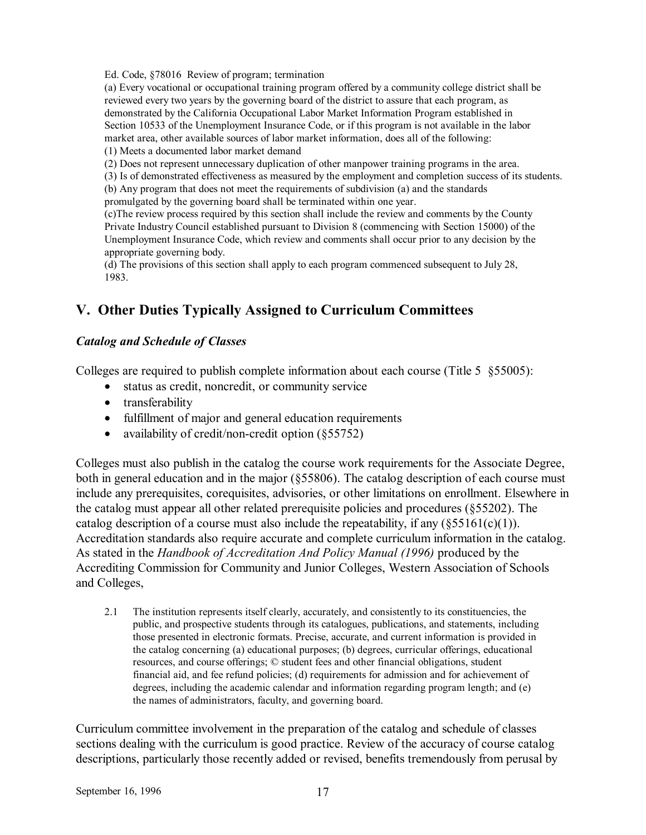Ed. Code, ß78016 Review of program; termination

(a) Every vocational or occupational training program offered by a community college district shall be reviewed every two years by the governing board of the district to assure that each program, as demonstrated by the California Occupational Labor Market Information Program established in Section 10533 of the Unemployment Insurance Code, or if this program is not available in the labor market area, other available sources of labor market information, does all of the following: (1) Meets a documented labor market demand

(2) Does not represent unnecessary duplication of other manpower training programs in the area.

(3) Is of demonstrated effectiveness as measured by the employment and completion success of its students.

(b) Any program that does not meet the requirements of subdivision (a) and the standards promulgated by the governing board shall be terminated within one year.

(c)The review process required by this section shall include the review and comments by the County Private Industry Council established pursuant to Division 8 (commencing with Section 15000) of the Unemployment Insurance Code, which review and comments shall occur prior to any decision by the appropriate governing body.

(d) The provisions of this section shall apply to each program commenced subsequent to July 28, 1983.

### **V. Other Duties Typically Assigned to Curriculum Committees**

### *Catalog and Schedule of Classes*

Colleges are required to publish complete information about each course (Title 5 § 55005):

- status as credit, noncredit, or community service
- transferability
- fulfillment of major and general education requirements
- availability of credit/non-credit option (§55752)

Colleges must also publish in the catalog the course work requirements for the Associate Degree, both in general education and in the major (§55806). The catalog description of each course must include any prerequisites, corequisites, advisories, or other limitations on enrollment. Elsewhere in the catalog must appear all other related prerequisite policies and procedures (ß55202). The catalog description of a course must also include the repeatability, if any  $(\frac{555161(c)(1)}{2})$ . Accreditation standards also require accurate and complete curriculum information in the catalog. As stated in the *Handbook of Accreditation And Policy Manual (1996)* produced by the Accrediting Commission for Community and Junior Colleges, Western Association of Schools and Colleges,

2.1 The institution represents itself clearly, accurately, and consistently to its constituencies, the public, and prospective students through its catalogues, publications, and statements, including those presented in electronic formats. Precise, accurate, and current information is provided in the catalog concerning (a) educational purposes; (b) degrees, curricular offerings, educational resources, and course offerings; © student fees and other financial obligations, student financial aid, and fee refund policies; (d) requirements for admission and for achievement of degrees, including the academic calendar and information regarding program length; and (e) the names of administrators, faculty, and governing board.

Curriculum committee involvement in the preparation of the catalog and schedule of classes sections dealing with the curriculum is good practice. Review of the accuracy of course catalog descriptions, particularly those recently added or revised, benefits tremendously from perusal by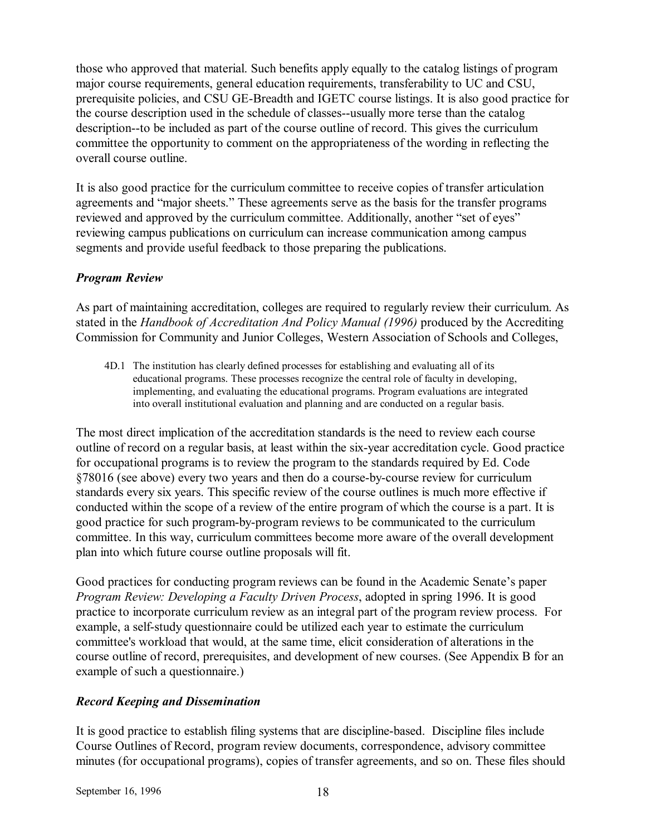those who approved that material. Such benefits apply equally to the catalog listings of program major course requirements, general education requirements, transferability to UC and CSU, prerequisite policies, and CSU GE-Breadth and IGETC course listings. It is also good practice for the course description used in the schedule of classes--usually more terse than the catalog description--to be included as part of the course outline of record. This gives the curriculum committee the opportunity to comment on the appropriateness of the wording in reflecting the overall course outline.

It is also good practice for the curriculum committee to receive copies of transfer articulation agreements and "major sheets." These agreements serve as the basis for the transfer programs reviewed and approved by the curriculum committee. Additionally, another "set of eyes" reviewing campus publications on curriculum can increase communication among campus segments and provide useful feedback to those preparing the publications.

### *Program Review*

As part of maintaining accreditation, colleges are required to regularly review their curriculum. As stated in the *Handbook of Accreditation And Policy Manual (1996)* produced by the Accrediting Commission for Community and Junior Colleges, Western Association of Schools and Colleges,

4D.1 The institution has clearly defined processes for establishing and evaluating all of its educational programs. These processes recognize the central role of faculty in developing, implementing, and evaluating the educational programs. Program evaluations are integrated into overall institutional evaluation and planning and are conducted on a regular basis.

The most direct implication of the accreditation standards is the need to review each course outline of record on a regular basis, at least within the six-year accreditation cycle. Good practice for occupational programs is to review the program to the standards required by Ed. Code ß78016 (see above) every two years and then do a course-by-course review for curriculum standards every six years. This specific review of the course outlines is much more effective if conducted within the scope of a review of the entire program of which the course is a part. It is good practice for such program-by-program reviews to be communicated to the curriculum committee. In this way, curriculum committees become more aware of the overall development plan into which future course outline proposals will fit.

Good practices for conducting program reviews can be found in the Academic Senate's paper *Program Review: Developing a Faculty Driven Process*, adopted in spring 1996. It is good practice to incorporate curriculum review as an integral part of the program review process. For example, a self-study questionnaire could be utilized each year to estimate the curriculum committee's workload that would, at the same time, elicit consideration of alterations in the course outline of record, prerequisites, and development of new courses. (See Appendix B for an example of such a questionnaire.)

### *Record Keeping and Dissemination*

It is good practice to establish filing systems that are discipline-based. Discipline files include Course Outlines of Record, program review documents, correspondence, advisory committee minutes (for occupational programs), copies of transfer agreements, and so on. These files should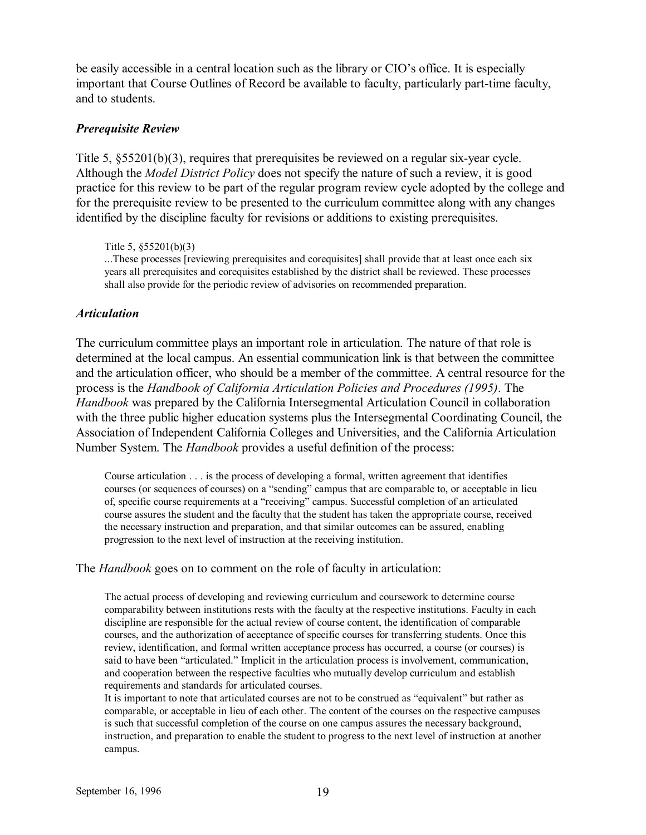be easily accessible in a central location such as the library or CIO's office. It is especially important that Course Outlines of Record be available to faculty, particularly part-time faculty, and to students.

### *Prerequisite Review*

Title 5, ß55201(b)(3), requires that prerequisites be reviewed on a regular six-year cycle. Although the *Model District Policy* does not specify the nature of such a review, it is good practice for this review to be part of the regular program review cycle adopted by the college and for the prerequisite review to be presented to the curriculum committee along with any changes identified by the discipline faculty for revisions or additions to existing prerequisites.

Title 5, ß55201(b)(3)

...These processes [reviewing prerequisites and corequisites] shall provide that at least once each six years all prerequisites and corequisites established by the district shall be reviewed. These processes shall also provide for the periodic review of advisories on recommended preparation.

#### *Articulation*

The curriculum committee plays an important role in articulation. The nature of that role is determined at the local campus. An essential communication link is that between the committee and the articulation officer, who should be a member of the committee. A central resource for the process is the *Handbook of California Articulation Policies and Procedures (1995)*. The *Handbook* was prepared by the California Intersegmental Articulation Council in collaboration with the three public higher education systems plus the Intersegmental Coordinating Council, the Association of Independent California Colleges and Universities, and the California Articulation Number System. The *Handbook* provides a useful definition of the process:

Course articulation . . . is the process of developing a formal, written agreement that identifies courses (or sequences of courses) on a "sending" campus that are comparable to, or acceptable in lieu of, specific course requirements at a "receiving" campus. Successful completion of an articulated course assures the student and the faculty that the student has taken the appropriate course, received the necessary instruction and preparation, and that similar outcomes can be assured, enabling progression to the next level of instruction at the receiving institution.

The *Handbook* goes on to comment on the role of faculty in articulation:

The actual process of developing and reviewing curriculum and coursework to determine course comparability between institutions rests with the faculty at the respective institutions. Faculty in each discipline are responsible for the actual review of course content, the identification of comparable courses, and the authorization of acceptance of specific courses for transferring students. Once this review, identification, and formal written acceptance process has occurred, a course (or courses) is said to have been "articulated." Implicit in the articulation process is involvement, communication, and cooperation between the respective faculties who mutually develop curriculum and establish requirements and standards for articulated courses.

It is important to note that articulated courses are not to be construed as "equivalent" but rather as comparable, or acceptable in lieu of each other. The content of the courses on the respective campuses is such that successful completion of the course on one campus assures the necessary background, instruction, and preparation to enable the student to progress to the next level of instruction at another campus.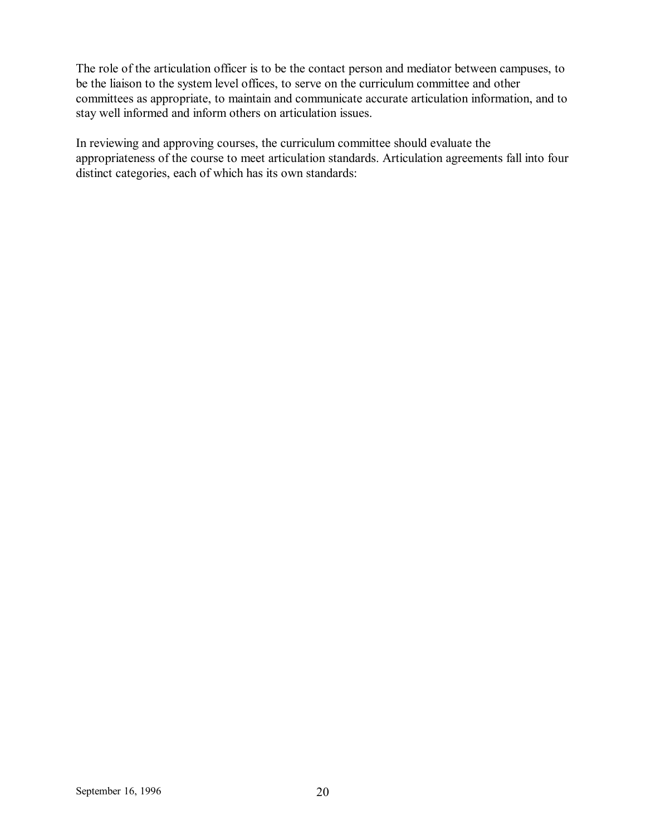The role of the articulation officer is to be the contact person and mediator between campuses, to be the liaison to the system level offices, to serve on the curriculum committee and other committees as appropriate, to maintain and communicate accurate articulation information, and to stay well informed and inform others on articulation issues.

In reviewing and approving courses, the curriculum committee should evaluate the appropriateness of the course to meet articulation standards. Articulation agreements fall into four distinct categories, each of which has its own standards: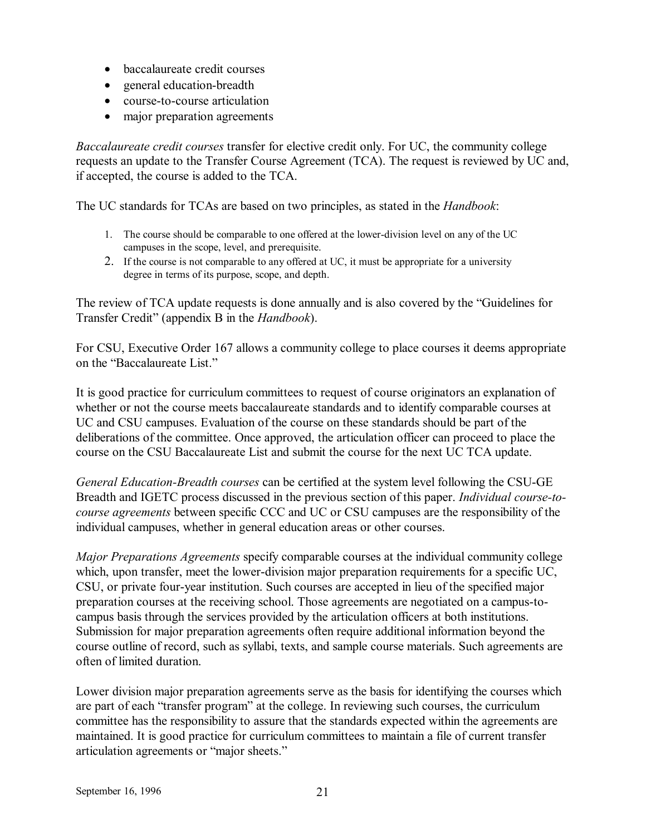- baccalaureate credit courses
- general education-breadth
- course-to-course articulation
- major preparation agreements

*Baccalaureate credit courses* transfer for elective credit only. For UC, the community college requests an update to the Transfer Course Agreement (TCA). The request is reviewed by UC and, if accepted, the course is added to the TCA.

The UC standards for TCAs are based on two principles, as stated in the *Handbook*:

- 1. The course should be comparable to one offered at the lower-division level on any of the UC campuses in the scope, level, and prerequisite.
- 2. If the course is not comparable to any offered at UC, it must be appropriate for a university degree in terms of its purpose, scope, and depth.

The review of TCA update requests is done annually and is also covered by the "Guidelines for Transfer Credit" (appendix B in the *Handbook*).

For CSU, Executive Order 167 allows a community college to place courses it deems appropriate on the "Baccalaureate List."

It is good practice for curriculum committees to request of course originators an explanation of whether or not the course meets baccalaureate standards and to identify comparable courses at UC and CSU campuses. Evaluation of the course on these standards should be part of the deliberations of the committee. Once approved, the articulation officer can proceed to place the course on the CSU Baccalaureate List and submit the course for the next UC TCA update.

*General Education-Breadth courses* can be certified at the system level following the CSU-GE Breadth and IGETC process discussed in the previous section of this paper. *Individual course-tocourse agreements* between specific CCC and UC or CSU campuses are the responsibility of the individual campuses, whether in general education areas or other courses.

*Major Preparations Agreements* specify comparable courses at the individual community college which, upon transfer, meet the lower-division major preparation requirements for a specific UC, CSU, or private four-year institution. Such courses are accepted in lieu of the specified major preparation courses at the receiving school. Those agreements are negotiated on a campus-tocampus basis through the services provided by the articulation officers at both institutions. Submission for major preparation agreements often require additional information beyond the course outline of record, such as syllabi, texts, and sample course materials. Such agreements are often of limited duration.

Lower division major preparation agreements serve as the basis for identifying the courses which are part of each "transfer program" at the college. In reviewing such courses, the curriculum committee has the responsibility to assure that the standards expected within the agreements are maintained. It is good practice for curriculum committees to maintain a file of current transfer articulation agreements or "major sheets."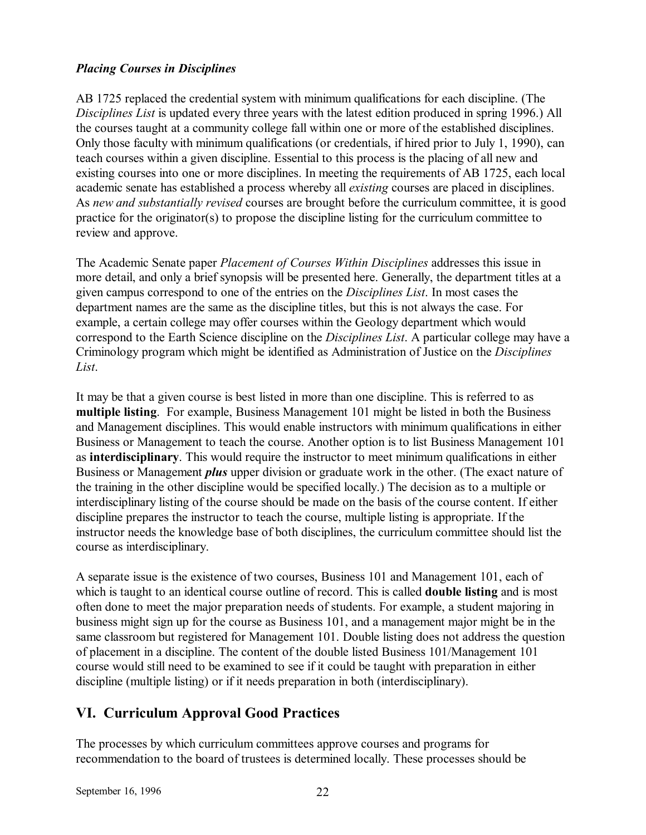### *Placing Courses in Disciplines*

AB 1725 replaced the credential system with minimum qualifications for each discipline. (The *Disciplines List* is updated every three years with the latest edition produced in spring 1996.) All the courses taught at a community college fall within one or more of the established disciplines. Only those faculty with minimum qualifications (or credentials, if hired prior to July 1, 1990), can teach courses within a given discipline. Essential to this process is the placing of all new and existing courses into one or more disciplines. In meeting the requirements of AB 1725, each local academic senate has established a process whereby all *existing* courses are placed in disciplines. As *new and substantially revised* courses are brought before the curriculum committee, it is good practice for the originator(s) to propose the discipline listing for the curriculum committee to review and approve.

The Academic Senate paper *Placement of Courses Within Disciplines* addresses this issue in more detail, and only a brief synopsis will be presented here. Generally, the department titles at a given campus correspond to one of the entries on the *Disciplines List*. In most cases the department names are the same as the discipline titles, but this is not always the case. For example, a certain college may offer courses within the Geology department which would correspond to the Earth Science discipline on the *Disciplines List*. A particular college may have a Criminology program which might be identified as Administration of Justice on the *Disciplines List*.

It may be that a given course is best listed in more than one discipline. This is referred to as **multiple listing**. For example, Business Management 101 might be listed in both the Business and Management disciplines. This would enable instructors with minimum qualifications in either Business or Management to teach the course. Another option is to list Business Management 101 as **interdisciplinary**. This would require the instructor to meet minimum qualifications in either Business or Management *plus* upper division or graduate work in the other. (The exact nature of the training in the other discipline would be specified locally.) The decision as to a multiple or interdisciplinary listing of the course should be made on the basis of the course content. If either discipline prepares the instructor to teach the course, multiple listing is appropriate. If the instructor needs the knowledge base of both disciplines, the curriculum committee should list the course as interdisciplinary.

A separate issue is the existence of two courses, Business 101 and Management 101, each of which is taught to an identical course outline of record. This is called **double listing** and is most often done to meet the major preparation needs of students. For example, a student majoring in business might sign up for the course as Business 101, and a management major might be in the same classroom but registered for Management 101. Double listing does not address the question of placement in a discipline. The content of the double listed Business 101/Management 101 course would still need to be examined to see if it could be taught with preparation in either discipline (multiple listing) or if it needs preparation in both (interdisciplinary).

### **VI. Curriculum Approval Good Practices**

The processes by which curriculum committees approve courses and programs for recommendation to the board of trustees is determined locally. These processes should be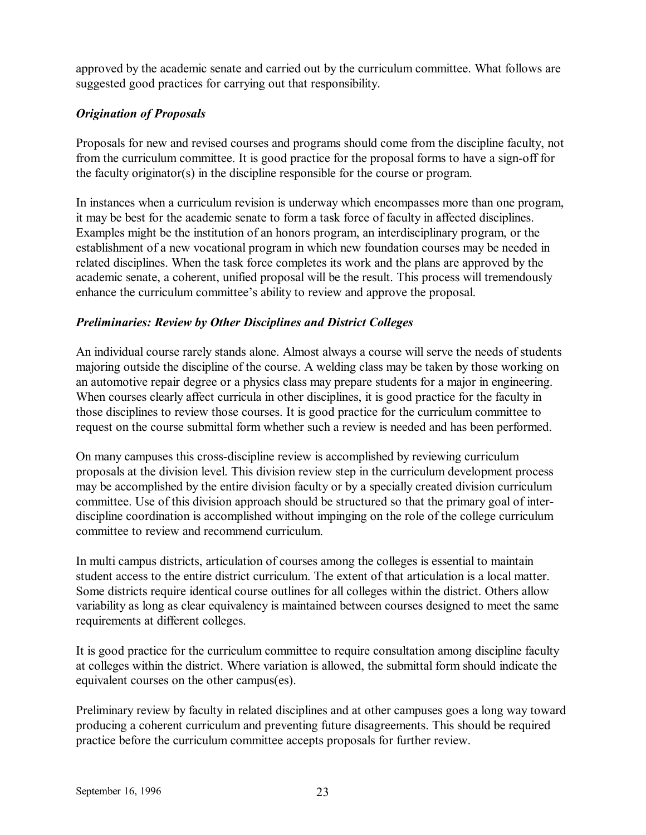approved by the academic senate and carried out by the curriculum committee. What follows are suggested good practices for carrying out that responsibility.

### *Origination of Proposals*

Proposals for new and revised courses and programs should come from the discipline faculty, not from the curriculum committee. It is good practice for the proposal forms to have a sign-off for the faculty originator(s) in the discipline responsible for the course or program.

In instances when a curriculum revision is underway which encompasses more than one program, it may be best for the academic senate to form a task force of faculty in affected disciplines. Examples might be the institution of an honors program, an interdisciplinary program, or the establishment of a new vocational program in which new foundation courses may be needed in related disciplines. When the task force completes its work and the plans are approved by the academic senate, a coherent, unified proposal will be the result. This process will tremendously enhance the curriculum committee's ability to review and approve the proposal.

### *Preliminaries: Review by Other Disciplines and District Colleges*

An individual course rarely stands alone. Almost always a course will serve the needs of students majoring outside the discipline of the course. A welding class may be taken by those working on an automotive repair degree or a physics class may prepare students for a major in engineering. When courses clearly affect curricula in other disciplines, it is good practice for the faculty in those disciplines to review those courses. It is good practice for the curriculum committee to request on the course submittal form whether such a review is needed and has been performed.

On many campuses this cross-discipline review is accomplished by reviewing curriculum proposals at the division level. This division review step in the curriculum development process may be accomplished by the entire division faculty or by a specially created division curriculum committee. Use of this division approach should be structured so that the primary goal of interdiscipline coordination is accomplished without impinging on the role of the college curriculum committee to review and recommend curriculum.

In multi campus districts, articulation of courses among the colleges is essential to maintain student access to the entire district curriculum. The extent of that articulation is a local matter. Some districts require identical course outlines for all colleges within the district. Others allow variability as long as clear equivalency is maintained between courses designed to meet the same requirements at different colleges.

It is good practice for the curriculum committee to require consultation among discipline faculty at colleges within the district. Where variation is allowed, the submittal form should indicate the equivalent courses on the other campus(es).

Preliminary review by faculty in related disciplines and at other campuses goes a long way toward producing a coherent curriculum and preventing future disagreements. This should be required practice before the curriculum committee accepts proposals for further review.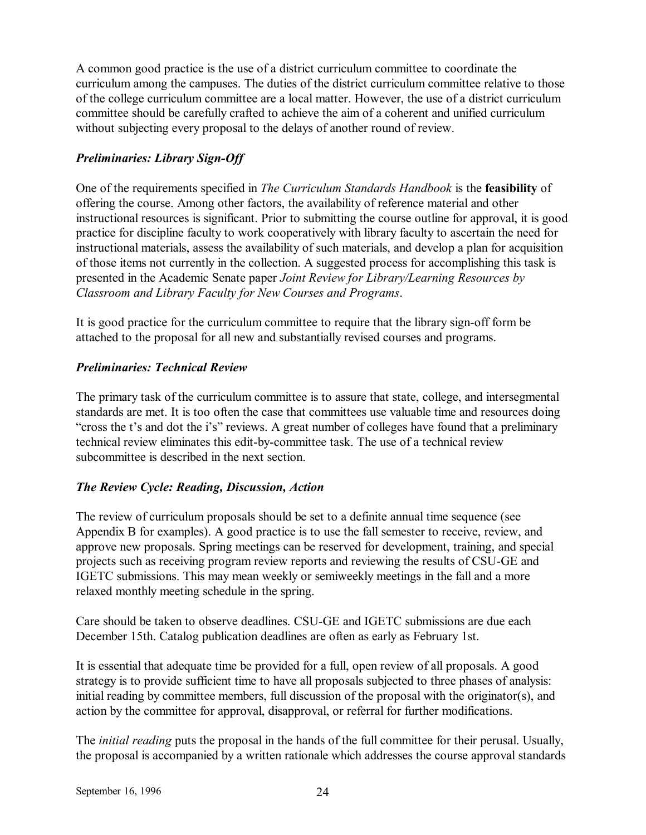A common good practice is the use of a district curriculum committee to coordinate the curriculum among the campuses. The duties of the district curriculum committee relative to those of the college curriculum committee are a local matter. However, the use of a district curriculum committee should be carefully crafted to achieve the aim of a coherent and unified curriculum without subjecting every proposal to the delays of another round of review.

### *Preliminaries: Library Sign-Off*

One of the requirements specified in *The Curriculum Standards Handbook* is the **feasibility** of offering the course. Among other factors, the availability of reference material and other instructional resources is significant. Prior to submitting the course outline for approval, it is good practice for discipline faculty to work cooperatively with library faculty to ascertain the need for instructional materials, assess the availability of such materials, and develop a plan for acquisition of those items not currently in the collection. A suggested process for accomplishing this task is presented in the Academic Senate paper *Joint Review for Library/Learning Resources by Classroom and Library Faculty for New Courses and Programs*.

It is good practice for the curriculum committee to require that the library sign-off form be attached to the proposal for all new and substantially revised courses and programs.

### *Preliminaries: Technical Review*

The primary task of the curriculum committee is to assure that state, college, and intersegmental standards are met. It is too often the case that committees use valuable time and resources doing "cross the t's and dot the i's" reviews. A great number of colleges have found that a preliminary technical review eliminates this edit-by-committee task. The use of a technical review subcommittee is described in the next section.

### *The Review Cycle: Reading, Discussion, Action*

The review of curriculum proposals should be set to a definite annual time sequence (see Appendix B for examples). A good practice is to use the fall semester to receive, review, and approve new proposals. Spring meetings can be reserved for development, training, and special projects such as receiving program review reports and reviewing the results of CSU-GE and IGETC submissions. This may mean weekly or semiweekly meetings in the fall and a more relaxed monthly meeting schedule in the spring.

Care should be taken to observe deadlines. CSU-GE and IGETC submissions are due each December 15th. Catalog publication deadlines are often as early as February 1st.

It is essential that adequate time be provided for a full, open review of all proposals. A good strategy is to provide sufficient time to have all proposals subjected to three phases of analysis: initial reading by committee members, full discussion of the proposal with the originator(s), and action by the committee for approval, disapproval, or referral for further modifications.

The *initial reading* puts the proposal in the hands of the full committee for their perusal. Usually, the proposal is accompanied by a written rationale which addresses the course approval standards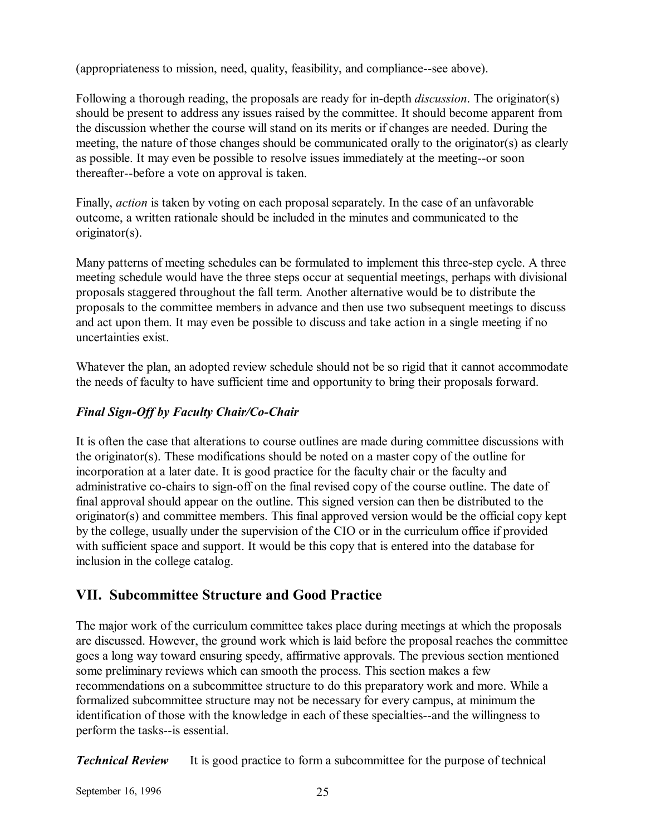(appropriateness to mission, need, quality, feasibility, and compliance--see above).

Following a thorough reading, the proposals are ready for in-depth *discussion*. The originator(s) should be present to address any issues raised by the committee. It should become apparent from the discussion whether the course will stand on its merits or if changes are needed. During the meeting, the nature of those changes should be communicated orally to the originator(s) as clearly as possible. It may even be possible to resolve issues immediately at the meeting--or soon thereafter--before a vote on approval is taken.

Finally, *action* is taken by voting on each proposal separately. In the case of an unfavorable outcome, a written rationale should be included in the minutes and communicated to the originator(s).

Many patterns of meeting schedules can be formulated to implement this three-step cycle. A three meeting schedule would have the three steps occur at sequential meetings, perhaps with divisional proposals staggered throughout the fall term. Another alternative would be to distribute the proposals to the committee members in advance and then use two subsequent meetings to discuss and act upon them. It may even be possible to discuss and take action in a single meeting if no uncertainties exist.

Whatever the plan, an adopted review schedule should not be so rigid that it cannot accommodate the needs of faculty to have sufficient time and opportunity to bring their proposals forward.

### *Final Sign-Off by Faculty Chair/Co-Chair*

It is often the case that alterations to course outlines are made during committee discussions with the originator(s). These modifications should be noted on a master copy of the outline for incorporation at a later date. It is good practice for the faculty chair or the faculty and administrative co-chairs to sign-off on the final revised copy of the course outline. The date of final approval should appear on the outline. This signed version can then be distributed to the originator(s) and committee members. This final approved version would be the official copy kept by the college, usually under the supervision of the CIO or in the curriculum office if provided with sufficient space and support. It would be this copy that is entered into the database for inclusion in the college catalog.

### **VII. Subcommittee Structure and Good Practice**

The major work of the curriculum committee takes place during meetings at which the proposals are discussed. However, the ground work which is laid before the proposal reaches the committee goes a long way toward ensuring speedy, affirmative approvals. The previous section mentioned some preliminary reviews which can smooth the process. This section makes a few recommendations on a subcommittee structure to do this preparatory work and more. While a formalized subcommittee structure may not be necessary for every campus, at minimum the identification of those with the knowledge in each of these specialties--and the willingness to perform the tasks--is essential.

*Technical Review* It is good practice to form a subcommittee for the purpose of technical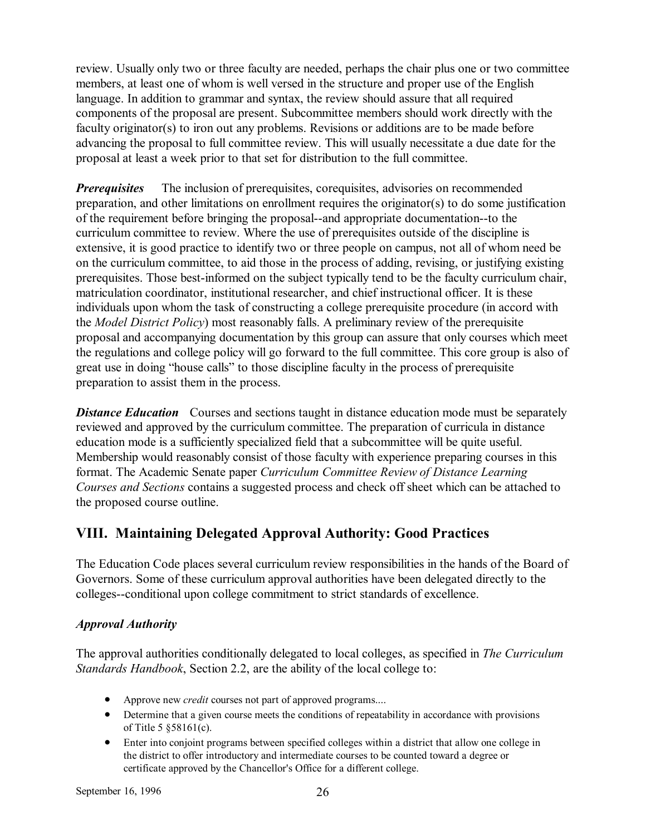review. Usually only two or three faculty are needed, perhaps the chair plus one or two committee members, at least one of whom is well versed in the structure and proper use of the English language. In addition to grammar and syntax, the review should assure that all required components of the proposal are present. Subcommittee members should work directly with the faculty originator(s) to iron out any problems. Revisions or additions are to be made before advancing the proposal to full committee review. This will usually necessitate a due date for the proposal at least a week prior to that set for distribution to the full committee.

*Prerequisites* The inclusion of prerequisites, corequisites, advisories on recommended preparation, and other limitations on enrollment requires the originator(s) to do some justification of the requirement before bringing the proposal--and appropriate documentation--to the curriculum committee to review. Where the use of prerequisites outside of the discipline is extensive, it is good practice to identify two or three people on campus, not all of whom need be on the curriculum committee, to aid those in the process of adding, revising, or justifying existing prerequisites. Those best-informed on the subject typically tend to be the faculty curriculum chair, matriculation coordinator, institutional researcher, and chief instructional officer. It is these individuals upon whom the task of constructing a college prerequisite procedure (in accord with the *Model District Policy*) most reasonably falls. A preliminary review of the prerequisite proposal and accompanying documentation by this group can assure that only courses which meet the regulations and college policy will go forward to the full committee. This core group is also of great use in doing "house calls" to those discipline faculty in the process of prerequisite preparation to assist them in the process.

**Distance Education** Courses and sections taught in distance education mode must be separately reviewed and approved by the curriculum committee. The preparation of curricula in distance education mode is a sufficiently specialized field that a subcommittee will be quite useful. Membership would reasonably consist of those faculty with experience preparing courses in this format. The Academic Senate paper *Curriculum Committee Review of Distance Learning Courses and Sections* contains a suggested process and check off sheet which can be attached to the proposed course outline.

### **VIII. Maintaining Delegated Approval Authority: Good Practices**

The Education Code places several curriculum review responsibilities in the hands of the Board of Governors. Some of these curriculum approval authorities have been delegated directly to the colleges--conditional upon college commitment to strict standards of excellence.

### *Approval Authority*

The approval authorities conditionally delegated to local colleges, as specified in *The Curriculum Standards Handbook*, Section 2.2, are the ability of the local college to:

- Approve new *credit* courses not part of approved programs....
- Determine that a given course meets the conditions of repeatability in accordance with provisions of Title 5 ß58161(c).
- Enter into conjoint programs between specified colleges within a district that allow one college in the district to offer introductory and intermediate courses to be counted toward a degree or certificate approved by the Chancellor's Office for a different college.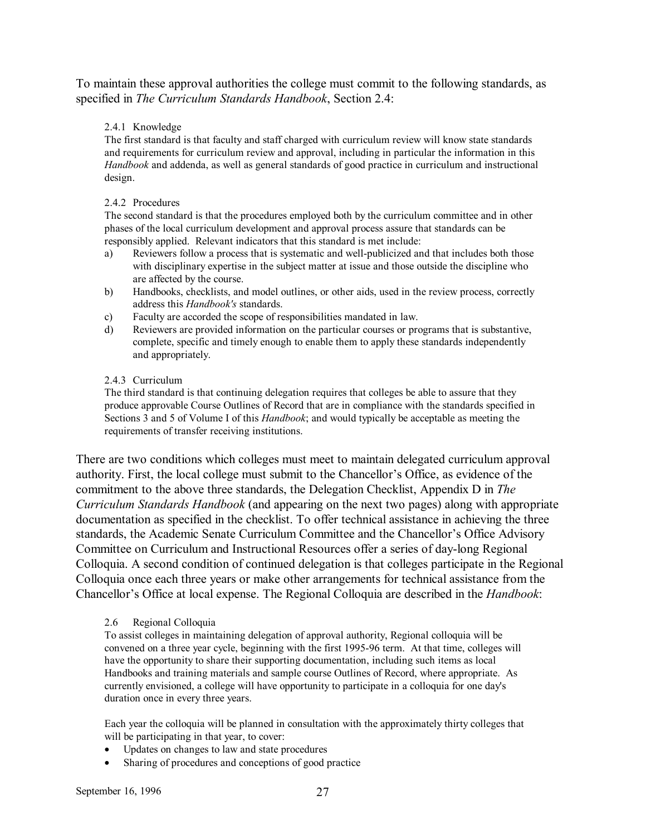To maintain these approval authorities the college must commit to the following standards, as specified in *The Curriculum Standards Handbook*, Section 2.4:

#### 2.4.1 Knowledge

The first standard is that faculty and staff charged with curriculum review will know state standards and requirements for curriculum review and approval, including in particular the information in this *Handbook* and addenda, as well as general standards of good practice in curriculum and instructional design.

#### 2.4.2 Procedures

The second standard is that the procedures employed both by the curriculum committee and in other phases of the local curriculum development and approval process assure that standards can be responsibly applied. Relevant indicators that this standard is met include:

- a) Reviewers follow a process that is systematic and well-publicized and that includes both those with disciplinary expertise in the subject matter at issue and those outside the discipline who are affected by the course.
- b) Handbooks, checklists, and model outlines, or other aids, used in the review process, correctly address this *Handbook's* standards.
- c) Faculty are accorded the scope of responsibilities mandated in law.
- d) Reviewers are provided information on the particular courses or programs that is substantive, complete, specific and timely enough to enable them to apply these standards independently and appropriately.

#### 2.4.3 Curriculum

The third standard is that continuing delegation requires that colleges be able to assure that they produce approvable Course Outlines of Record that are in compliance with the standards specified in Sections 3 and 5 of Volume I of this *Handbook*; and would typically be acceptable as meeting the requirements of transfer receiving institutions.

There are two conditions which colleges must meet to maintain delegated curriculum approval authority. First, the local college must submit to the Chancellor's Office, as evidence of the commitment to the above three standards, the Delegation Checklist, Appendix D in *The Curriculum Standards Handbook* (and appearing on the next two pages) along with appropriate documentation as specified in the checklist. To offer technical assistance in achieving the three standards, the Academic Senate Curriculum Committee and the Chancellor's Office Advisory Committee on Curriculum and Instructional Resources offer a series of day-long Regional Colloquia. A second condition of continued delegation is that colleges participate in the Regional Colloquia once each three years or make other arrangements for technical assistance from the Chancellor's Office at local expense. The Regional Colloquia are described in the *Handbook*:

#### 2.6 Regional Colloquia

To assist colleges in maintaining delegation of approval authority, Regional colloquia will be convened on a three year cycle, beginning with the first 1995-96 term. At that time, colleges will have the opportunity to share their supporting documentation, including such items as local Handbooks and training materials and sample course Outlines of Record, where appropriate. As currently envisioned, a college will have opportunity to participate in a colloquia for one day's duration once in every three years.

Each year the colloquia will be planned in consultation with the approximately thirty colleges that will be participating in that year, to cover:

- Updates on changes to law and state procedures
- Sharing of procedures and conceptions of good practice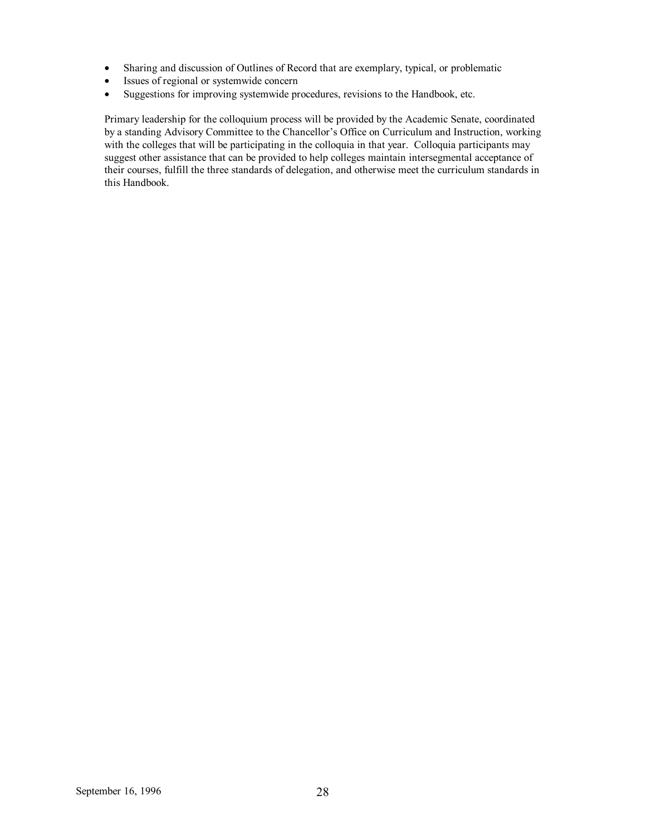- Sharing and discussion of Outlines of Record that are exemplary, typical, or problematic
- Issues of regional or systemwide concern
- Suggestions for improving systemwide procedures, revisions to the Handbook, etc.

Primary leadership for the colloquium process will be provided by the Academic Senate, coordinated by a standing Advisory Committee to the Chancellor's Office on Curriculum and Instruction, working with the colleges that will be participating in the colloquia in that year. Colloquia participants may suggest other assistance that can be provided to help colleges maintain intersegmental acceptance of their courses, fulfill the three standards of delegation, and otherwise meet the curriculum standards in this Handbook.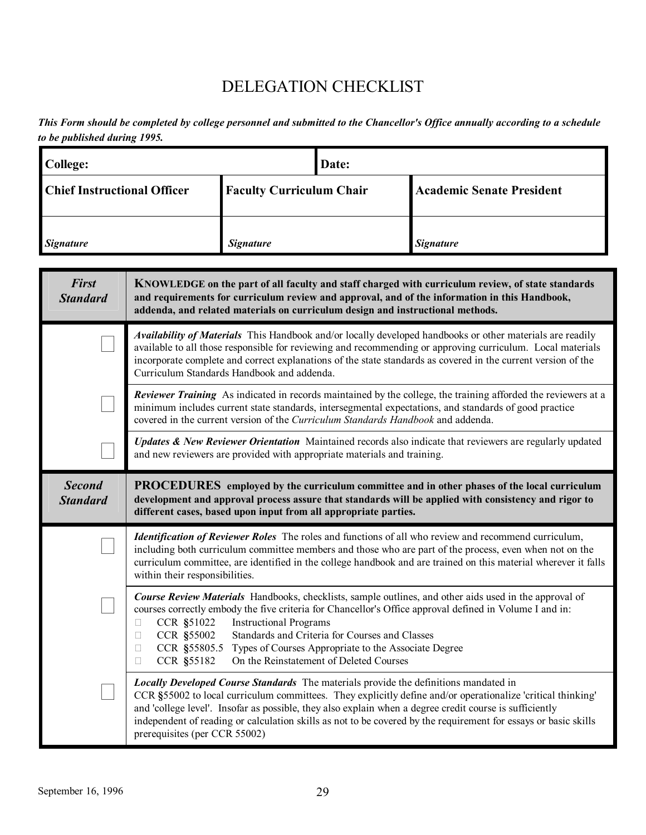# DELEGATION CHECKLIST

*This Form should be completed by college personnel and submitted to the Chancellor's Office annually according to a schedule to be published during 1995.* 

| <b>College:</b>                    |                                                                                                                                                                                                                                                                                      | Date:                                                                                                                                                                                                                                                                                                      |                                                                                                                                                   |                                                                                                                                                                                                                                                                                                                                                                                                                                          |  |
|------------------------------------|--------------------------------------------------------------------------------------------------------------------------------------------------------------------------------------------------------------------------------------------------------------------------------------|------------------------------------------------------------------------------------------------------------------------------------------------------------------------------------------------------------------------------------------------------------------------------------------------------------|---------------------------------------------------------------------------------------------------------------------------------------------------|------------------------------------------------------------------------------------------------------------------------------------------------------------------------------------------------------------------------------------------------------------------------------------------------------------------------------------------------------------------------------------------------------------------------------------------|--|
| <b>Chief Instructional Officer</b> |                                                                                                                                                                                                                                                                                      | <b>Faculty Curriculum Chair</b>                                                                                                                                                                                                                                                                            |                                                                                                                                                   | <b>Academic Senate President</b>                                                                                                                                                                                                                                                                                                                                                                                                         |  |
| <b>Signature</b>                   |                                                                                                                                                                                                                                                                                      | <b>Signature</b>                                                                                                                                                                                                                                                                                           |                                                                                                                                                   | <b>Signature</b>                                                                                                                                                                                                                                                                                                                                                                                                                         |  |
| <b>First</b><br><b>Standard</b>    | KNOWLEDGE on the part of all faculty and staff charged with curriculum review, of state standards<br>and requirements for curriculum review and approval, and of the information in this Handbook,<br>addenda, and related materials on curriculum design and instructional methods. |                                                                                                                                                                                                                                                                                                            |                                                                                                                                                   |                                                                                                                                                                                                                                                                                                                                                                                                                                          |  |
|                                    |                                                                                                                                                                                                                                                                                      | Curriculum Standards Handbook and addenda.                                                                                                                                                                                                                                                                 |                                                                                                                                                   | Availability of Materials This Handbook and/or locally developed handbooks or other materials are readily<br>available to all those responsible for reviewing and recommending or approving curriculum. Local materials<br>incorporate complete and correct explanations of the state standards as covered in the current version of the                                                                                                 |  |
|                                    |                                                                                                                                                                                                                                                                                      | Reviewer Training As indicated in records maintained by the college, the training afforded the reviewers at a<br>minimum includes current state standards, intersegmental expectations, and standards of good practice<br>covered in the current version of the Curriculum Standards Handbook and addenda. |                                                                                                                                                   |                                                                                                                                                                                                                                                                                                                                                                                                                                          |  |
|                                    |                                                                                                                                                                                                                                                                                      |                                                                                                                                                                                                                                                                                                            | and new reviewers are provided with appropriate materials and training.                                                                           | Updates & New Reviewer Orientation Maintained records also indicate that reviewers are regularly updated                                                                                                                                                                                                                                                                                                                                 |  |
| <b>Second</b><br><b>Standard</b>   | <b>PROCEDURES</b> employed by the curriculum committee and in other phases of the local curriculum<br>development and approval process assure that standards will be applied with consistency and rigor to<br>different cases, based upon input from all appropriate parties.        |                                                                                                                                                                                                                                                                                                            |                                                                                                                                                   |                                                                                                                                                                                                                                                                                                                                                                                                                                          |  |
|                                    | within their responsibilities.                                                                                                                                                                                                                                                       |                                                                                                                                                                                                                                                                                                            |                                                                                                                                                   | <b>Identification of Reviewer Roles</b> The roles and functions of all who review and recommend curriculum,<br>including both curriculum committee members and those who are part of the process, even when not on the<br>curriculum committee, are identified in the college handbook and are trained on this material wherever it falls                                                                                                |  |
|                                    | CCR \$51022<br>CCR §55002<br>CCR §55805.5<br>CCR §55182                                                                                                                                                                                                                              | <b>Instructional Programs</b>                                                                                                                                                                                                                                                                              | Standards and Criteria for Courses and Classes<br>Types of Courses Appropriate to the Associate Degree<br>On the Reinstatement of Deleted Courses | <b>Course Review Materials</b> Handbooks, checklists, sample outlines, and other aids used in the approval of<br>courses correctly embody the five criteria for Chancellor's Office approval defined in Volume I and in:                                                                                                                                                                                                                 |  |
|                                    | prerequisites (per CCR 55002)                                                                                                                                                                                                                                                        |                                                                                                                                                                                                                                                                                                            |                                                                                                                                                   | <b>Locally Developed Course Standards</b> The materials provide the definitions mandated in<br>CCR §55002 to local curriculum committees. They explicitly define and/or operationalize 'critical thinking'<br>and 'college level'. Insofar as possible, they also explain when a degree credit course is sufficiently<br>independent of reading or calculation skills as not to be covered by the requirement for essays or basic skills |  |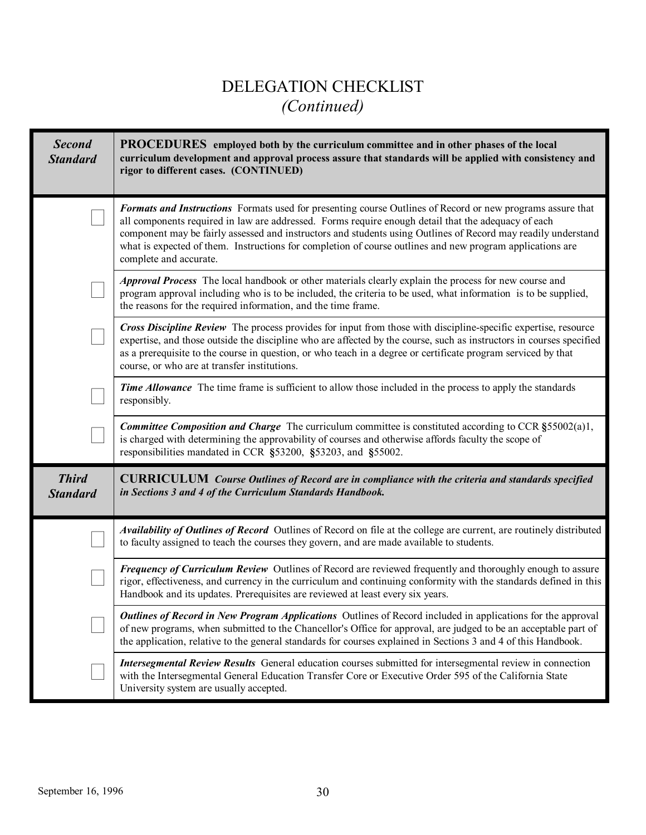# DELEGATION CHECKLIST *(Continued)*

| <b>Second</b><br><b>Standard</b> | <b>PROCEDURES</b> employed both by the curriculum committee and in other phases of the local<br>curriculum development and approval process assure that standards will be applied with consistency and<br>rigor to different cases. (CONTINUED)                                                                                                                                                                                                                           |
|----------------------------------|---------------------------------------------------------------------------------------------------------------------------------------------------------------------------------------------------------------------------------------------------------------------------------------------------------------------------------------------------------------------------------------------------------------------------------------------------------------------------|
|                                  | Formats and Instructions Formats used for presenting course Outlines of Record or new programs assure that<br>all components required in law are addressed. Forms require enough detail that the adequacy of each<br>component may be fairly assessed and instructors and students using Outlines of Record may readily understand<br>what is expected of them. Instructions for completion of course outlines and new program applications are<br>complete and accurate. |
|                                  | Approval Process The local handbook or other materials clearly explain the process for new course and<br>program approval including who is to be included, the criteria to be used, what information is to be supplied,<br>the reasons for the required information, and the time frame.                                                                                                                                                                                  |
|                                  | Cross Discipline Review The process provides for input from those with discipline-specific expertise, resource<br>expertise, and those outside the discipline who are affected by the course, such as instructors in courses specified<br>as a prerequisite to the course in question, or who teach in a degree or certificate program serviced by that<br>course, or who are at transfer institutions.                                                                   |
|                                  | Time Allowance The time frame is sufficient to allow those included in the process to apply the standards<br>responsibly.                                                                                                                                                                                                                                                                                                                                                 |
|                                  | Committee Composition and Charge The curriculum committee is constituted according to CCR §55002(a)1,<br>is charged with determining the approvability of courses and otherwise affords faculty the scope of<br>responsibilities mandated in CCR §53200, §53203, and §55002.                                                                                                                                                                                              |
| <b>Third</b><br><b>Standard</b>  | <b>CURRICULUM</b> Course Outlines of Record are in compliance with the criteria and standards specified<br>in Sections 3 and 4 of the Curriculum Standards Handbook.                                                                                                                                                                                                                                                                                                      |
|                                  | Availability of Outlines of Record Outlines of Record on file at the college are current, are routinely distributed<br>to faculty assigned to teach the courses they govern, and are made available to students.                                                                                                                                                                                                                                                          |
|                                  | Frequency of Curriculum Review Outlines of Record are reviewed frequently and thoroughly enough to assure<br>rigor, effectiveness, and currency in the curriculum and continuing conformity with the standards defined in this<br>Handbook and its updates. Prerequisites are reviewed at least every six years.                                                                                                                                                          |
|                                  | <b>Outlines of Record in New Program Applications</b> Outlines of Record included in applications for the approval<br>of new programs, when submitted to the Chancellor's Office for approval, are judged to be an acceptable part of<br>the application, relative to the general standards for courses explained in Sections 3 and 4 of this Handbook.                                                                                                                   |
|                                  | Intersegmental Review Results General education courses submitted for intersegmental review in connection<br>with the Intersegmental General Education Transfer Core or Executive Order 595 of the California State<br>University system are usually accepted.                                                                                                                                                                                                            |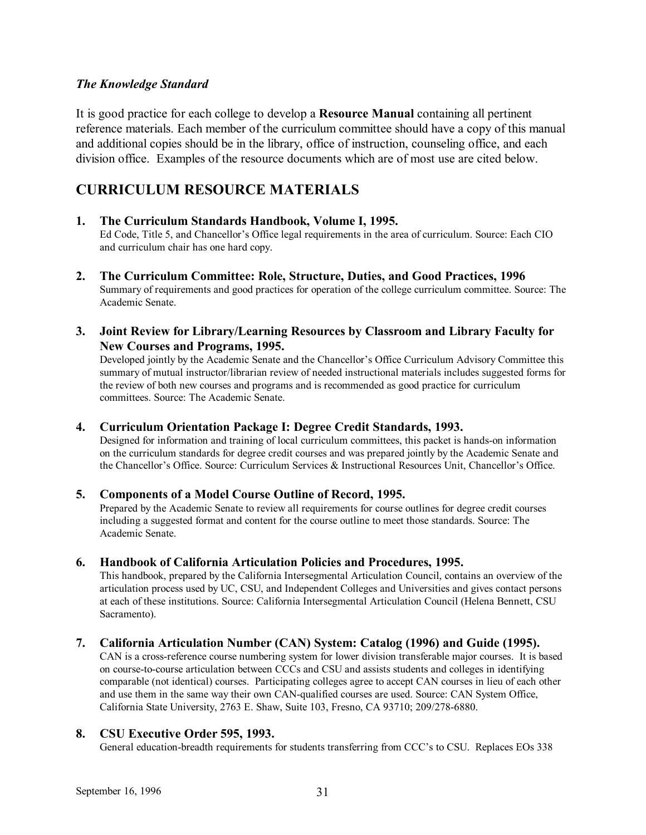### *The Knowledge Standard*

It is good practice for each college to develop a **Resource Manual** containing all pertinent reference materials. Each member of the curriculum committee should have a copy of this manual and additional copies should be in the library, office of instruction, counseling office, and each division office. Examples of the resource documents which are of most use are cited below.

### **CURRICULUM RESOURCE MATERIALS**

- **1. The Curriculum Standards Handbook, Volume I, 1995.**  Ed Code, Title 5, and Chancellor's Office legal requirements in the area of curriculum. Source: Each CIO and curriculum chair has one hard copy.
- **2. The Curriculum Committee: Role, Structure, Duties, and Good Practices, 1996** Summary of requirements and good practices for operation of the college curriculum committee. Source: The Academic Senate.
- **3. Joint Review for Library/Learning Resources by Classroom and Library Faculty for New Courses and Programs, 1995.**

Developed jointly by the Academic Senate and the Chancellor's Office Curriculum Advisory Committee this summary of mutual instructor/librarian review of needed instructional materials includes suggested forms for the review of both new courses and programs and is recommended as good practice for curriculum committees. Source: The Academic Senate.

### **4. Curriculum Orientation Package I: Degree Credit Standards, 1993.**

Designed for information and training of local curriculum committees, this packet is hands-on information on the curriculum standards for degree credit courses and was prepared jointly by the Academic Senate and the Chancellor's Office. Source: Curriculum Services & Instructional Resources Unit, Chancellor's Office.

#### **5. Components of a Model Course Outline of Record, 1995.**

Prepared by the Academic Senate to review all requirements for course outlines for degree credit courses including a suggested format and content for the course outline to meet those standards. Source: The Academic Senate.

#### **6. Handbook of California Articulation Policies and Procedures, 1995.**

This handbook, prepared by the California Intersegmental Articulation Council, contains an overview of the articulation process used by UC, CSU, and Independent Colleges and Universities and gives contact persons at each of these institutions. Source: California Intersegmental Articulation Council (Helena Bennett, CSU Sacramento).

### **7. California Articulation Number (CAN) System: Catalog (1996) and Guide (1995).**

CAN is a cross-reference course numbering system for lower division transferable major courses. It is based on course-to-course articulation between CCCs and CSU and assists students and colleges in identifying comparable (not identical) courses. Participating colleges agree to accept CAN courses in lieu of each other and use them in the same way their own CAN-qualified courses are used. Source: CAN System Office, California State University, 2763 E. Shaw, Suite 103, Fresno, CA 93710; 209/278-6880.

#### **8. CSU Executive Order 595, 1993.**

General education-breadth requirements for students transferring from CCC's to CSU. Replaces EOs 338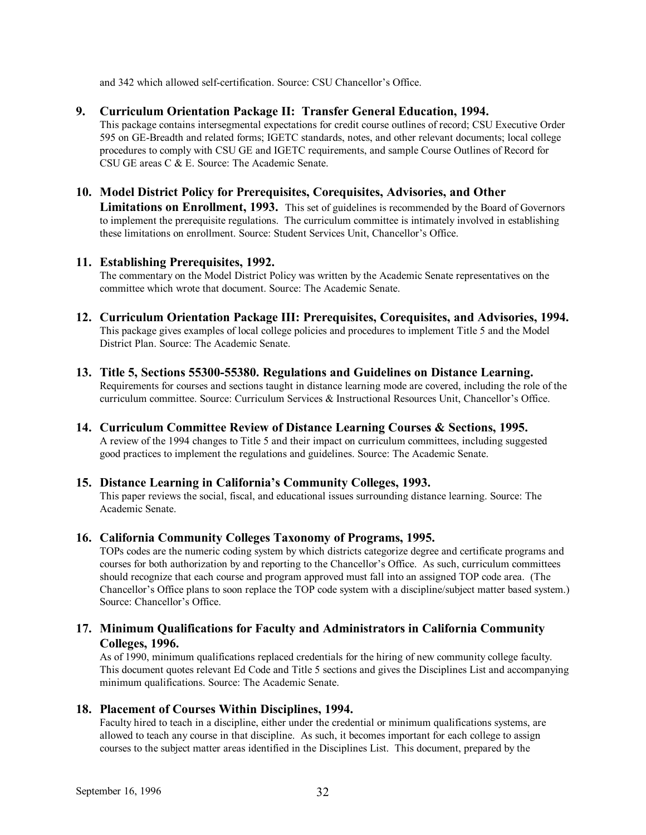and 342 which allowed self-certification. Source: CSU Chancellor's Office.

#### **9. Curriculum Orientation Package II: Transfer General Education, 1994.**

This package contains intersegmental expectations for credit course outlines of record; CSU Executive Order 595 on GE-Breadth and related forms; IGETC standards, notes, and other relevant documents; local college procedures to comply with CSU GE and IGETC requirements, and sample Course Outlines of Record for CSU GE areas C & E. Source: The Academic Senate.

#### **10. Model District Policy for Prerequisites, Corequisites, Advisories, and Other**

Limitations on Enrollment, 1993. This set of guidelines is recommended by the Board of Governors to implement the prerequisite regulations. The curriculum committee is intimately involved in establishing these limitations on enrollment. Source: Student Services Unit, Chancellor's Office.

#### **11. Establishing Prerequisites, 1992.**

The commentary on the Model District Policy was written by the Academic Senate representatives on the committee which wrote that document. Source: The Academic Senate.

- **12. Curriculum Orientation Package III: Prerequisites, Corequisites, and Advisories, 1994.**  This package gives examples of local college policies and procedures to implement Title 5 and the Model District Plan. Source: The Academic Senate.
- **13. Title 5, Sections 55300-55380. Regulations and Guidelines on Distance Learning.**  Requirements for courses and sections taught in distance learning mode are covered, including the role of the curriculum committee. Source: Curriculum Services & Instructional Resources Unit, Chancellor's Office.
- **14. Curriculum Committee Review of Distance Learning Courses & Sections, 1995.**  A review of the 1994 changes to Title 5 and their impact on curriculum committees, including suggested good practices to implement the regulations and guidelines. Source: The Academic Senate.

### **15. Distance Learning in Californiaís Community Colleges, 1993.**

This paper reviews the social, fiscal, and educational issues surrounding distance learning. Source: The Academic Senate.

#### **16. California Community Colleges Taxonomy of Programs, 1995.**

TOPs codes are the numeric coding system by which districts categorize degree and certificate programs and courses for both authorization by and reporting to the Chancellor's Office. As such, curriculum committees should recognize that each course and program approved must fall into an assigned TOP code area. (The Chancellor's Office plans to soon replace the TOP code system with a discipline/subject matter based system.) Source: Chancellor's Office

### **17. Minimum Qualifications for Faculty and Administrators in California Community Colleges, 1996.**

As of 1990, minimum qualifications replaced credentials for the hiring of new community college faculty. This document quotes relevant Ed Code and Title 5 sections and gives the Disciplines List and accompanying minimum qualifications. Source: The Academic Senate.

### **18. Placement of Courses Within Disciplines, 1994.**

Faculty hired to teach in a discipline, either under the credential or minimum qualifications systems, are allowed to teach any course in that discipline. As such, it becomes important for each college to assign courses to the subject matter areas identified in the Disciplines List. This document, prepared by the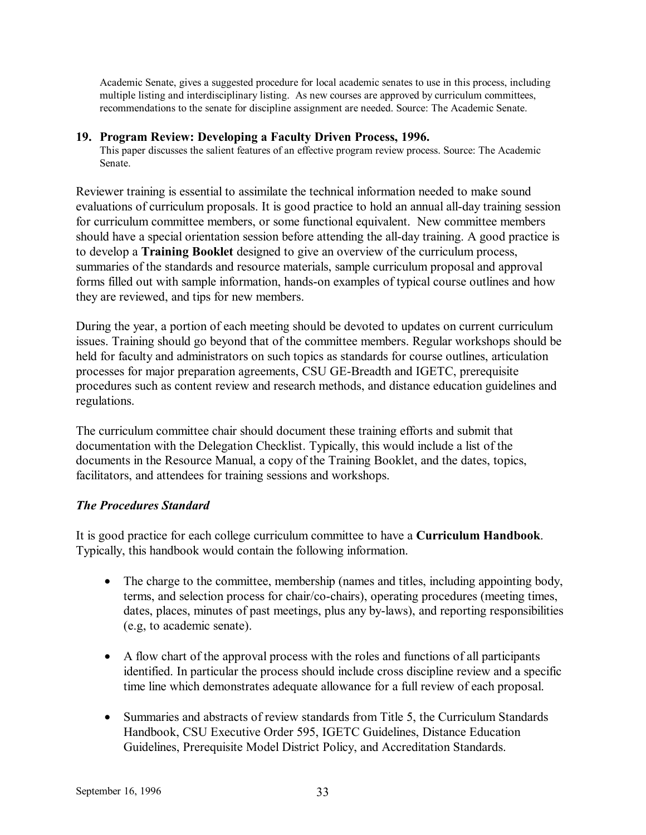Academic Senate, gives a suggested procedure for local academic senates to use in this process, including multiple listing and interdisciplinary listing. As new courses are approved by curriculum committees, recommendations to the senate for discipline assignment are needed. Source: The Academic Senate.

#### **19. Program Review: Developing a Faculty Driven Process, 1996.**

This paper discusses the salient features of an effective program review process. Source: The Academic Senate.

Reviewer training is essential to assimilate the technical information needed to make sound evaluations of curriculum proposals. It is good practice to hold an annual all-day training session for curriculum committee members, or some functional equivalent. New committee members should have a special orientation session before attending the all-day training. A good practice is to develop a **Training Booklet** designed to give an overview of the curriculum process, summaries of the standards and resource materials, sample curriculum proposal and approval forms filled out with sample information, hands-on examples of typical course outlines and how they are reviewed, and tips for new members.

During the year, a portion of each meeting should be devoted to updates on current curriculum issues. Training should go beyond that of the committee members. Regular workshops should be held for faculty and administrators on such topics as standards for course outlines, articulation processes for major preparation agreements, CSU GE-Breadth and IGETC, prerequisite procedures such as content review and research methods, and distance education guidelines and regulations.

The curriculum committee chair should document these training efforts and submit that documentation with the Delegation Checklist. Typically, this would include a list of the documents in the Resource Manual, a copy of the Training Booklet, and the dates, topics, facilitators, and attendees for training sessions and workshops.

### *The Procedures Standard*

It is good practice for each college curriculum committee to have a **Curriculum Handbook**. Typically, this handbook would contain the following information.

- The charge to the committee, membership (names and titles, including appointing body, terms, and selection process for chair/co-chairs), operating procedures (meeting times, dates, places, minutes of past meetings, plus any by-laws), and reporting responsibilities (e.g, to academic senate).
- A flow chart of the approval process with the roles and functions of all participants identified. In particular the process should include cross discipline review and a specific time line which demonstrates adequate allowance for a full review of each proposal.
- Summaries and abstracts of review standards from Title 5, the Curriculum Standards Handbook, CSU Executive Order 595, IGETC Guidelines, Distance Education Guidelines, Prerequisite Model District Policy, and Accreditation Standards.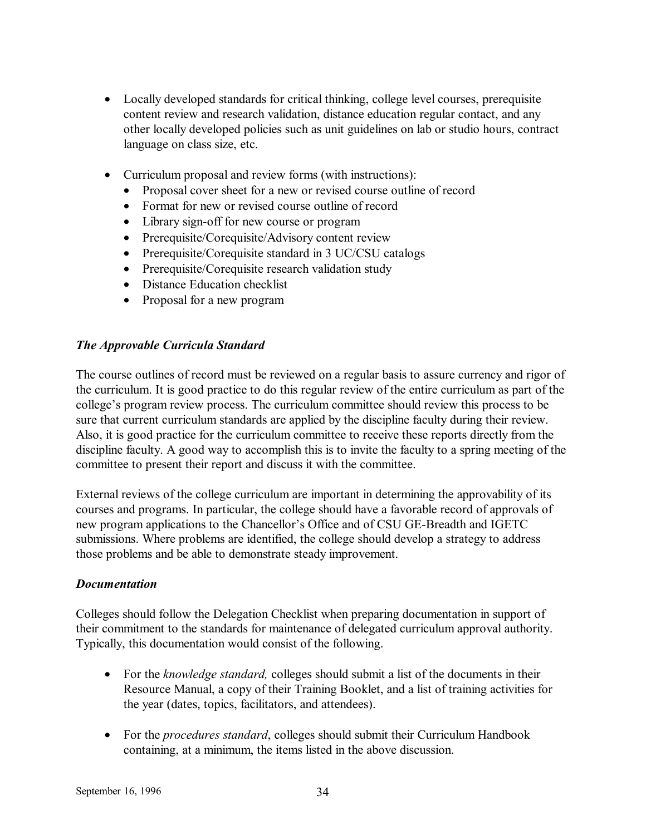- Locally developed standards for critical thinking, college level courses, prerequisite content review and research validation, distance education regular contact, and any other locally developed policies such as unit guidelines on lab or studio hours, contract language on class size, etc.
- Curriculum proposal and review forms (with instructions):
	- Proposal cover sheet for a new or revised course outline of record
	- Format for new or revised course outline of record
	- Library sign-off for new course or program
	- Prerequisite/Corequisite/Advisory content review
	- Prerequisite/Corequisite standard in 3 UC/CSU catalogs
	- Prerequisite/Corequisite research validation study
	- Distance Education checklist
	- Proposal for a new program

### *The Approvable Curricula Standard*

The course outlines of record must be reviewed on a regular basis to assure currency and rigor of the curriculum. It is good practice to do this regular review of the entire curriculum as part of the college's program review process. The curriculum committee should review this process to be sure that current curriculum standards are applied by the discipline faculty during their review. Also, it is good practice for the curriculum committee to receive these reports directly from the discipline faculty. A good way to accomplish this is to invite the faculty to a spring meeting of the committee to present their report and discuss it with the committee.

External reviews of the college curriculum are important in determining the approvability of its courses and programs. In particular, the college should have a favorable record of approvals of new program applications to the Chancellor's Office and of CSU GE-Breadth and IGETC submissions. Where problems are identified, the college should develop a strategy to address those problems and be able to demonstrate steady improvement.

### *Documentation*

Colleges should follow the Delegation Checklist when preparing documentation in support of their commitment to the standards for maintenance of delegated curriculum approval authority. Typically, this documentation would consist of the following.

- For the *knowledge standard,* colleges should submit a list of the documents in their Resource Manual, a copy of their Training Booklet, and a list of training activities for the year (dates, topics, facilitators, and attendees).
- For the *procedures standard*, colleges should submit their Curriculum Handbook containing, at a minimum, the items listed in the above discussion.